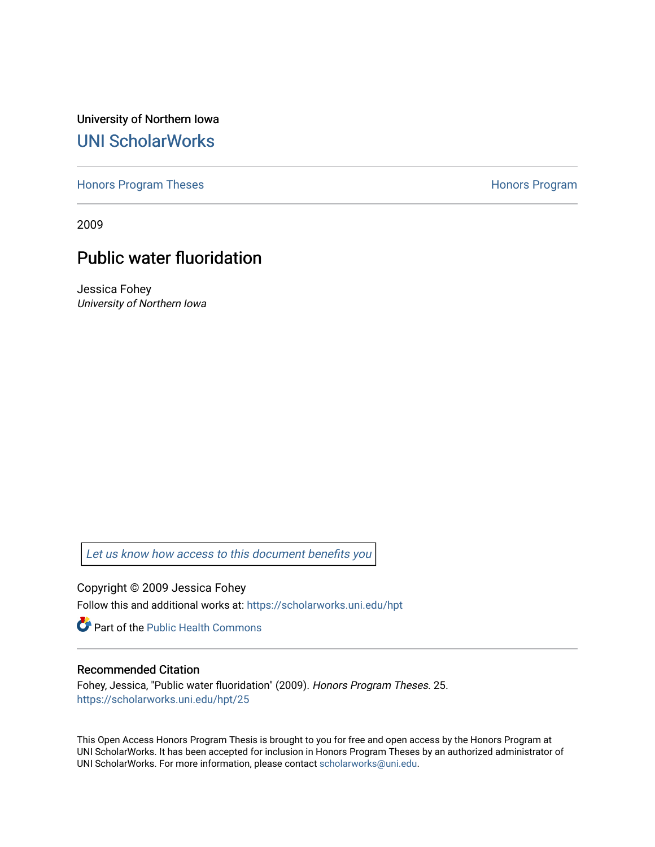University of Northern Iowa [UNI ScholarWorks](https://scholarworks.uni.edu/) 

[Honors Program Theses](https://scholarworks.uni.edu/hpt) **Honors Program** Honors Program

2009

# Public water fluoridation

Jessica Fohey University of Northern Iowa

[Let us know how access to this document benefits you](https://scholarworks.uni.edu/feedback_form.html) 

Copyright © 2009 Jessica Fohey

Follow this and additional works at: [https://scholarworks.uni.edu/hpt](https://scholarworks.uni.edu/hpt?utm_source=scholarworks.uni.edu%2Fhpt%2F25&utm_medium=PDF&utm_campaign=PDFCoverPages) 

Part of the [Public Health Commons](http://network.bepress.com/hgg/discipline/738?utm_source=scholarworks.uni.edu%2Fhpt%2F25&utm_medium=PDF&utm_campaign=PDFCoverPages) 

## Recommended Citation

Fohey, Jessica, "Public water fluoridation" (2009). Honors Program Theses. 25. [https://scholarworks.uni.edu/hpt/25](https://scholarworks.uni.edu/hpt/25?utm_source=scholarworks.uni.edu%2Fhpt%2F25&utm_medium=PDF&utm_campaign=PDFCoverPages)

This Open Access Honors Program Thesis is brought to you for free and open access by the Honors Program at UNI ScholarWorks. It has been accepted for inclusion in Honors Program Theses by an authorized administrator of UNI ScholarWorks. For more information, please contact [scholarworks@uni.edu.](mailto:scholarworks@uni.edu)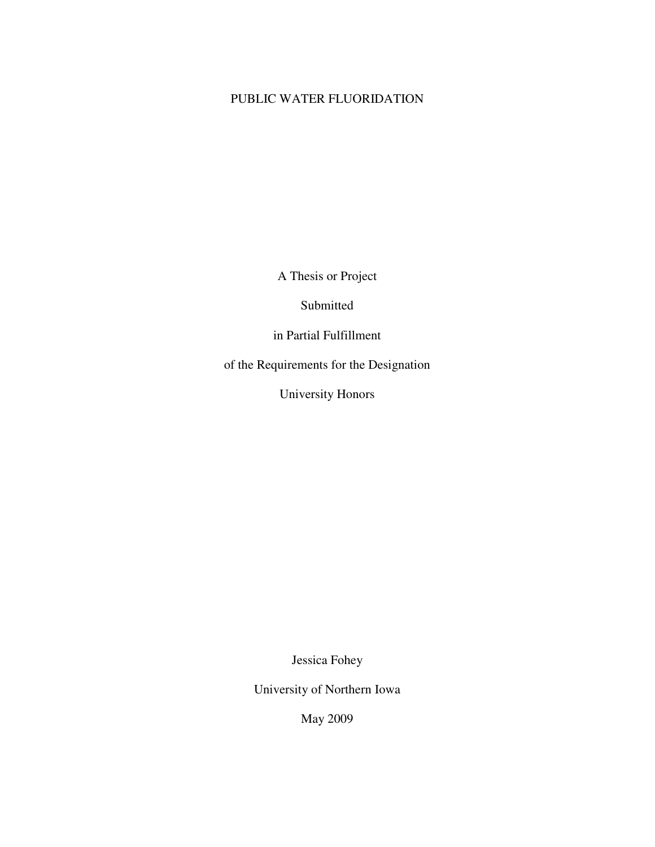## PUBLIC WATER FLUORIDATION

A Thesis or Project

Submitted

in Partial Fulfillment

of the Requirements for the Designation

University Honors

Jessica Fohey

University of Northern Iowa

May 2009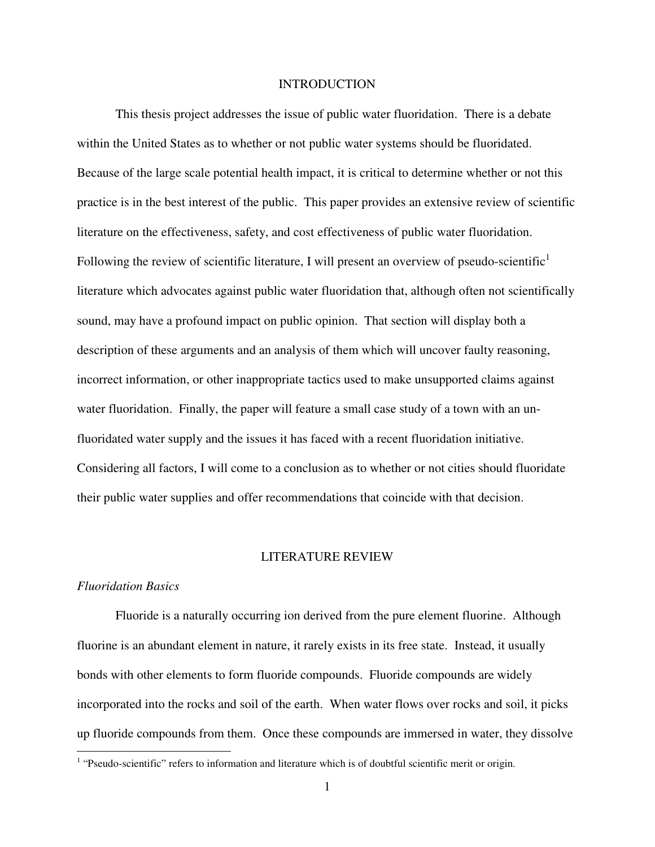## **INTRODUCTION**

 This thesis project addresses the issue of public water fluoridation. There is a debate within the United States as to whether or not public water systems should be fluoridated. Because of the large scale potential health impact, it is critical to determine whether or not this practice is in the best interest of the public. This paper provides an extensive review of scientific literature on the effectiveness, safety, and cost effectiveness of public water fluoridation. Following the review of scientific literature, I will present an overview of pseudo-scientific<sup>1</sup> literature which advocates against public water fluoridation that, although often not scientifically sound, may have a profound impact on public opinion. That section will display both a description of these arguments and an analysis of them which will uncover faulty reasoning, incorrect information, or other inappropriate tactics used to make unsupported claims against water fluoridation. Finally, the paper will feature a small case study of a town with an unfluoridated water supply and the issues it has faced with a recent fluoridation initiative. Considering all factors, I will come to a conclusion as to whether or not cities should fluoridate their public water supplies and offer recommendations that coincide with that decision.

## LITERATURE REVIEW

## *Fluoridation Basics*

Fluoride is a naturally occurring ion derived from the pure element fluorine. Although fluorine is an abundant element in nature, it rarely exists in its free state. Instead, it usually bonds with other elements to form fluoride compounds. Fluoride compounds are widely incorporated into the rocks and soil of the earth. When water flows over rocks and soil, it picks up fluoride compounds from them. Once these compounds are immersed in water, they dissolve

<sup>&</sup>lt;sup>1</sup> "Pseudo-scientific" refers to information and literature which is of doubtful scientific merit or origin.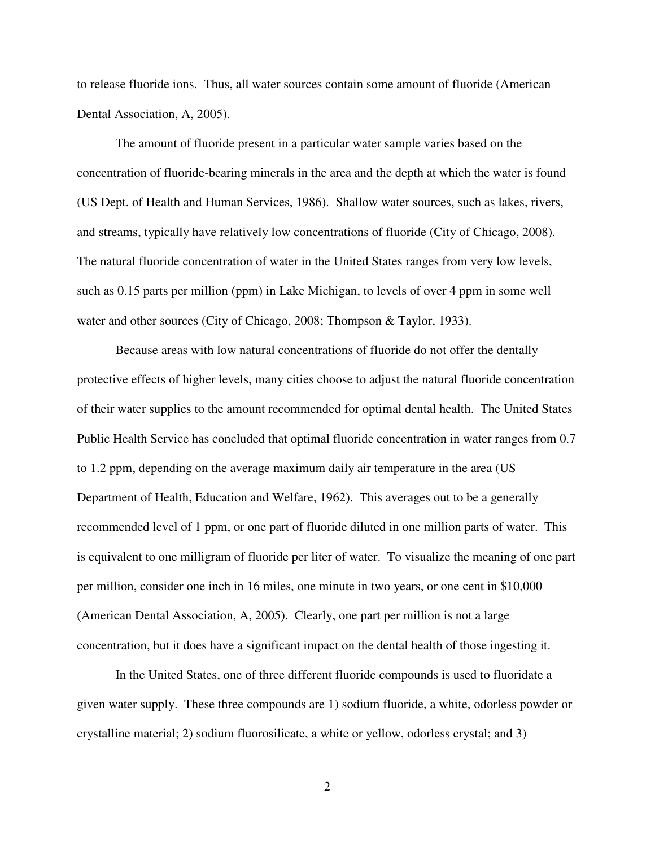to release fluoride ions. Thus, all water sources contain some amount of fluoride (American Dental Association, A, 2005).

 The amount of fluoride present in a particular water sample varies based on the concentration of fluoride-bearing minerals in the area and the depth at which the water is found (US Dept. of Health and Human Services, 1986). Shallow water sources, such as lakes, rivers, and streams, typically have relatively low concentrations of fluoride (City of Chicago, 2008). The natural fluoride concentration of water in the United States ranges from very low levels, such as 0.15 parts per million (ppm) in Lake Michigan, to levels of over 4 ppm in some well water and other sources (City of Chicago, 2008; Thompson & Taylor, 1933).

 Because areas with low natural concentrations of fluoride do not offer the dentally protective effects of higher levels, many cities choose to adjust the natural fluoride concentration of their water supplies to the amount recommended for optimal dental health. The United States Public Health Service has concluded that optimal fluoride concentration in water ranges from 0.7 to 1.2 ppm, depending on the average maximum daily air temperature in the area (US Department of Health, Education and Welfare, 1962). This averages out to be a generally recommended level of 1 ppm, or one part of fluoride diluted in one million parts of water. This is equivalent to one milligram of fluoride per liter of water. To visualize the meaning of one part per million, consider one inch in 16 miles, one minute in two years, or one cent in \$10,000 (American Dental Association, A, 2005). Clearly, one part per million is not a large concentration, but it does have a significant impact on the dental health of those ingesting it.

 In the United States, one of three different fluoride compounds is used to fluoridate a given water supply. These three compounds are 1) sodium fluoride, a white, odorless powder or crystalline material; 2) sodium fluorosilicate, a white or yellow, odorless crystal; and 3)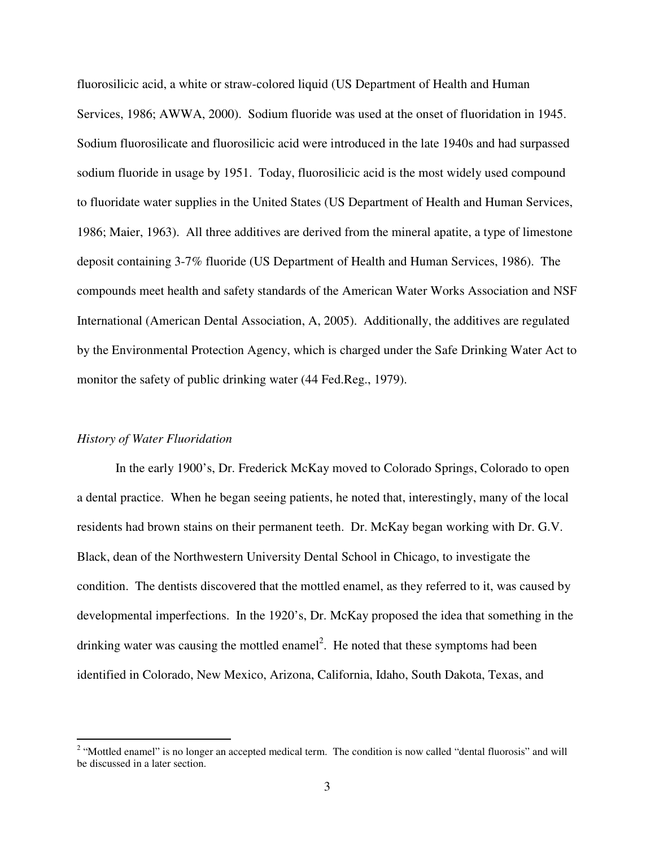fluorosilicic acid, a white or straw-colored liquid (US Department of Health and Human Services, 1986; AWWA, 2000). Sodium fluoride was used at the onset of fluoridation in 1945. Sodium fluorosilicate and fluorosilicic acid were introduced in the late 1940s and had surpassed sodium fluoride in usage by 1951. Today, fluorosilicic acid is the most widely used compound to fluoridate water supplies in the United States (US Department of Health and Human Services, 1986; Maier, 1963). All three additives are derived from the mineral apatite, a type of limestone deposit containing 3-7% fluoride (US Department of Health and Human Services, 1986). The compounds meet health and safety standards of the American Water Works Association and NSF International (American Dental Association, A, 2005). Additionally, the additives are regulated by the Environmental Protection Agency, which is charged under the Safe Drinking Water Act to monitor the safety of public drinking water (44 Fed.Reg., 1979).

## *History of Water Fluoridation*

 In the early 1900's, Dr. Frederick McKay moved to Colorado Springs, Colorado to open a dental practice. When he began seeing patients, he noted that, interestingly, many of the local residents had brown stains on their permanent teeth. Dr. McKay began working with Dr. G.V. Black, dean of the Northwestern University Dental School in Chicago, to investigate the condition. The dentists discovered that the mottled enamel, as they referred to it, was caused by developmental imperfections. In the 1920's, Dr. McKay proposed the idea that something in the drinking water was causing the mottled enamel<sup>2</sup>. He noted that these symptoms had been identified in Colorado, New Mexico, Arizona, California, Idaho, South Dakota, Texas, and

<sup>&</sup>lt;sup>2</sup> "Mottled enamel" is no longer an accepted medical term. The condition is now called "dental fluorosis" and will be discussed in a later section.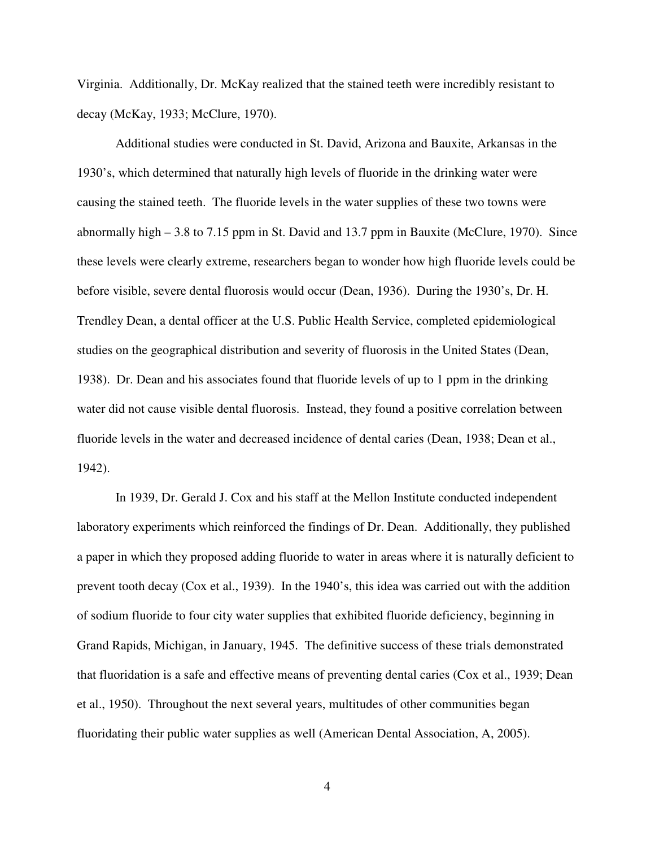Virginia. Additionally, Dr. McKay realized that the stained teeth were incredibly resistant to decay (McKay, 1933; McClure, 1970).

 Additional studies were conducted in St. David, Arizona and Bauxite, Arkansas in the 1930's, which determined that naturally high levels of fluoride in the drinking water were causing the stained teeth. The fluoride levels in the water supplies of these two towns were abnormally high – 3.8 to 7.15 ppm in St. David and 13.7 ppm in Bauxite (McClure, 1970). Since these levels were clearly extreme, researchers began to wonder how high fluoride levels could be before visible, severe dental fluorosis would occur (Dean, 1936). During the 1930's, Dr. H. Trendley Dean, a dental officer at the U.S. Public Health Service, completed epidemiological studies on the geographical distribution and severity of fluorosis in the United States (Dean, 1938). Dr. Dean and his associates found that fluoride levels of up to 1 ppm in the drinking water did not cause visible dental fluorosis. Instead, they found a positive correlation between fluoride levels in the water and decreased incidence of dental caries (Dean, 1938; Dean et al., 1942).

 In 1939, Dr. Gerald J. Cox and his staff at the Mellon Institute conducted independent laboratory experiments which reinforced the findings of Dr. Dean. Additionally, they published a paper in which they proposed adding fluoride to water in areas where it is naturally deficient to prevent tooth decay (Cox et al., 1939). In the 1940's, this idea was carried out with the addition of sodium fluoride to four city water supplies that exhibited fluoride deficiency, beginning in Grand Rapids, Michigan, in January, 1945. The definitive success of these trials demonstrated that fluoridation is a safe and effective means of preventing dental caries (Cox et al., 1939; Dean et al., 1950). Throughout the next several years, multitudes of other communities began fluoridating their public water supplies as well (American Dental Association, A, 2005).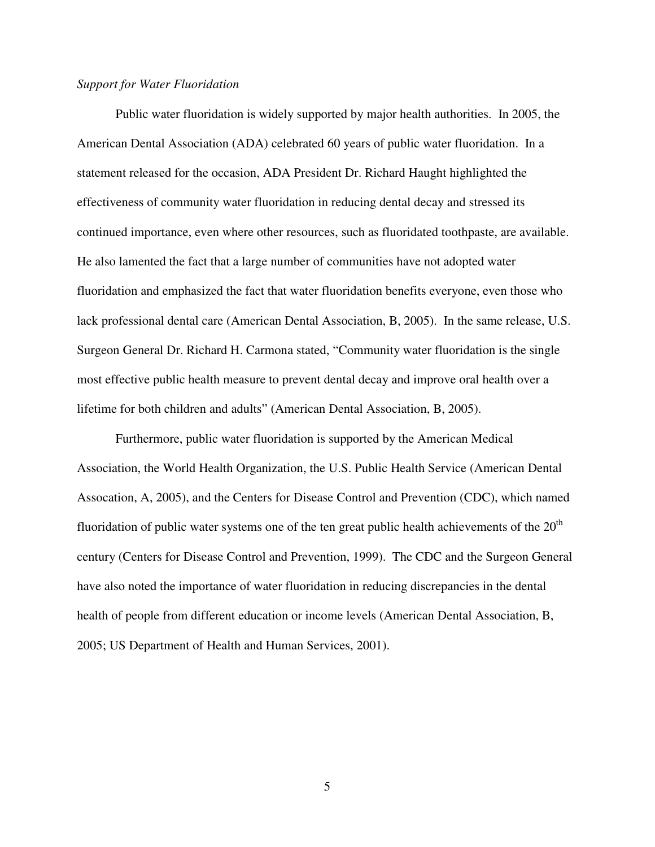## *Support for Water Fluoridation*

 Public water fluoridation is widely supported by major health authorities. In 2005, the American Dental Association (ADA) celebrated 60 years of public water fluoridation. In a statement released for the occasion, ADA President Dr. Richard Haught highlighted the effectiveness of community water fluoridation in reducing dental decay and stressed its continued importance, even where other resources, such as fluoridated toothpaste, are available. He also lamented the fact that a large number of communities have not adopted water fluoridation and emphasized the fact that water fluoridation benefits everyone, even those who lack professional dental care (American Dental Association, B, 2005). In the same release, U.S. Surgeon General Dr. Richard H. Carmona stated, "Community water fluoridation is the single most effective public health measure to prevent dental decay and improve oral health over a lifetime for both children and adults" (American Dental Association, B, 2005).

 Furthermore, public water fluoridation is supported by the American Medical Association, the World Health Organization, the U.S. Public Health Service (American Dental Assocation, A, 2005), and the Centers for Disease Control and Prevention (CDC), which named fluoridation of public water systems one of the ten great public health achievements of the  $20<sup>th</sup>$ century (Centers for Disease Control and Prevention, 1999). The CDC and the Surgeon General have also noted the importance of water fluoridation in reducing discrepancies in the dental health of people from different education or income levels (American Dental Association, B, 2005; US Department of Health and Human Services, 2001).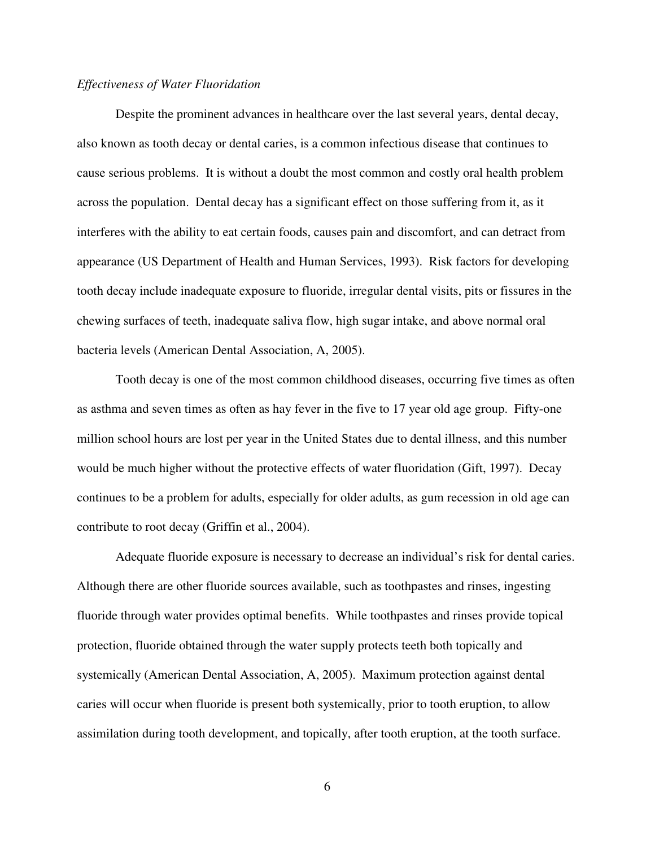## *Effectiveness of Water Fluoridation*

 Despite the prominent advances in healthcare over the last several years, dental decay, also known as tooth decay or dental caries, is a common infectious disease that continues to cause serious problems. It is without a doubt the most common and costly oral health problem across the population. Dental decay has a significant effect on those suffering from it, as it interferes with the ability to eat certain foods, causes pain and discomfort, and can detract from appearance (US Department of Health and Human Services, 1993). Risk factors for developing tooth decay include inadequate exposure to fluoride, irregular dental visits, pits or fissures in the chewing surfaces of teeth, inadequate saliva flow, high sugar intake, and above normal oral bacteria levels (American Dental Association, A, 2005).

Tooth decay is one of the most common childhood diseases, occurring five times as often as asthma and seven times as often as hay fever in the five to 17 year old age group. Fifty-one million school hours are lost per year in the United States due to dental illness, and this number would be much higher without the protective effects of water fluoridation (Gift, 1997). Decay continues to be a problem for adults, especially for older adults, as gum recession in old age can contribute to root decay (Griffin et al., 2004).

Adequate fluoride exposure is necessary to decrease an individual's risk for dental caries. Although there are other fluoride sources available, such as toothpastes and rinses, ingesting fluoride through water provides optimal benefits. While toothpastes and rinses provide topical protection, fluoride obtained through the water supply protects teeth both topically and systemically (American Dental Association, A, 2005). Maximum protection against dental caries will occur when fluoride is present both systemically, prior to tooth eruption, to allow assimilation during tooth development, and topically, after tooth eruption, at the tooth surface.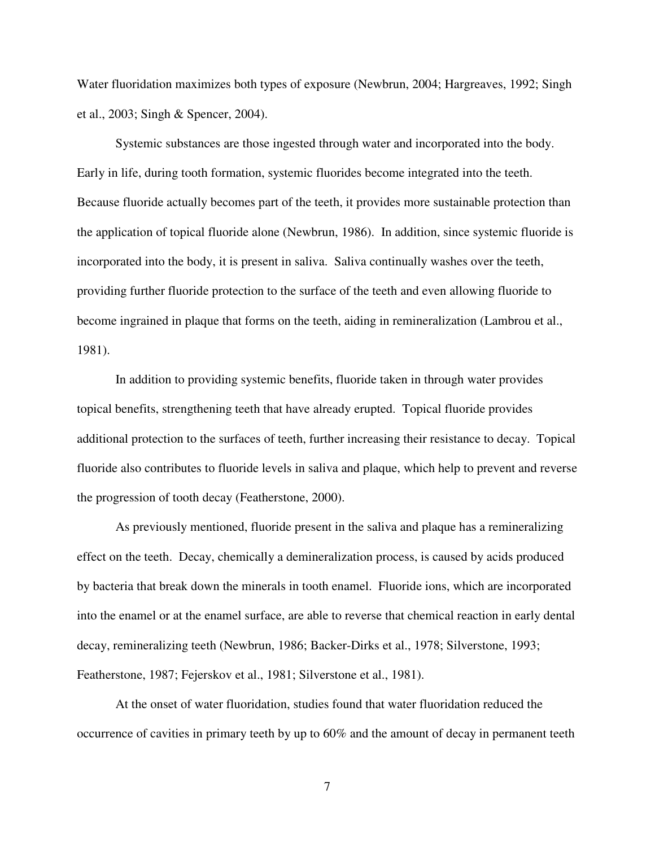Water fluoridation maximizes both types of exposure (Newbrun, 2004; Hargreaves, 1992; Singh et al., 2003; Singh & Spencer, 2004).

Systemic substances are those ingested through water and incorporated into the body. Early in life, during tooth formation, systemic fluorides become integrated into the teeth. Because fluoride actually becomes part of the teeth, it provides more sustainable protection than the application of topical fluoride alone (Newbrun, 1986). In addition, since systemic fluoride is incorporated into the body, it is present in saliva. Saliva continually washes over the teeth, providing further fluoride protection to the surface of the teeth and even allowing fluoride to become ingrained in plaque that forms on the teeth, aiding in remineralization (Lambrou et al., 1981).

In addition to providing systemic benefits, fluoride taken in through water provides topical benefits, strengthening teeth that have already erupted. Topical fluoride provides additional protection to the surfaces of teeth, further increasing their resistance to decay. Topical fluoride also contributes to fluoride levels in saliva and plaque, which help to prevent and reverse the progression of tooth decay (Featherstone, 2000).

As previously mentioned, fluoride present in the saliva and plaque has a remineralizing effect on the teeth. Decay, chemically a demineralization process, is caused by acids produced by bacteria that break down the minerals in tooth enamel. Fluoride ions, which are incorporated into the enamel or at the enamel surface, are able to reverse that chemical reaction in early dental decay, remineralizing teeth (Newbrun, 1986; Backer-Dirks et al., 1978; Silverstone, 1993; Featherstone, 1987; Fejerskov et al., 1981; Silverstone et al., 1981).

 At the onset of water fluoridation, studies found that water fluoridation reduced the occurrence of cavities in primary teeth by up to 60% and the amount of decay in permanent teeth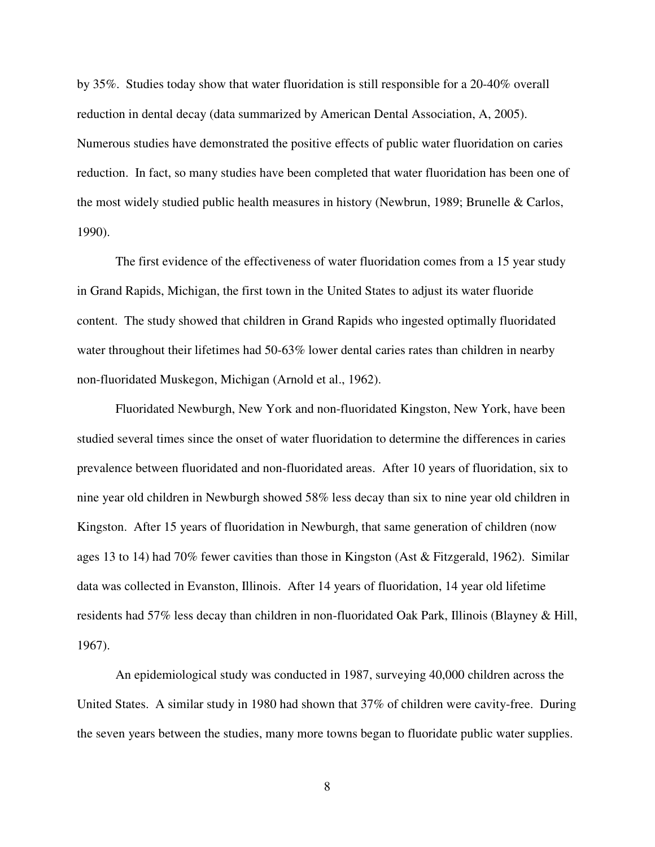by 35%. Studies today show that water fluoridation is still responsible for a 20-40% overall reduction in dental decay (data summarized by American Dental Association, A, 2005). Numerous studies have demonstrated the positive effects of public water fluoridation on caries reduction. In fact, so many studies have been completed that water fluoridation has been one of the most widely studied public health measures in history (Newbrun, 1989; Brunelle & Carlos, 1990).

 The first evidence of the effectiveness of water fluoridation comes from a 15 year study in Grand Rapids, Michigan, the first town in the United States to adjust its water fluoride content. The study showed that children in Grand Rapids who ingested optimally fluoridated water throughout their lifetimes had 50-63% lower dental caries rates than children in nearby non-fluoridated Muskegon, Michigan (Arnold et al., 1962).

 Fluoridated Newburgh, New York and non-fluoridated Kingston, New York, have been studied several times since the onset of water fluoridation to determine the differences in caries prevalence between fluoridated and non-fluoridated areas. After 10 years of fluoridation, six to nine year old children in Newburgh showed 58% less decay than six to nine year old children in Kingston. After 15 years of fluoridation in Newburgh, that same generation of children (now ages 13 to 14) had 70% fewer cavities than those in Kingston (Ast & Fitzgerald, 1962). Similar data was collected in Evanston, Illinois. After 14 years of fluoridation, 14 year old lifetime residents had 57% less decay than children in non-fluoridated Oak Park, Illinois (Blayney & Hill, 1967).

 An epidemiological study was conducted in 1987, surveying 40,000 children across the United States. A similar study in 1980 had shown that 37% of children were cavity-free. During the seven years between the studies, many more towns began to fluoridate public water supplies.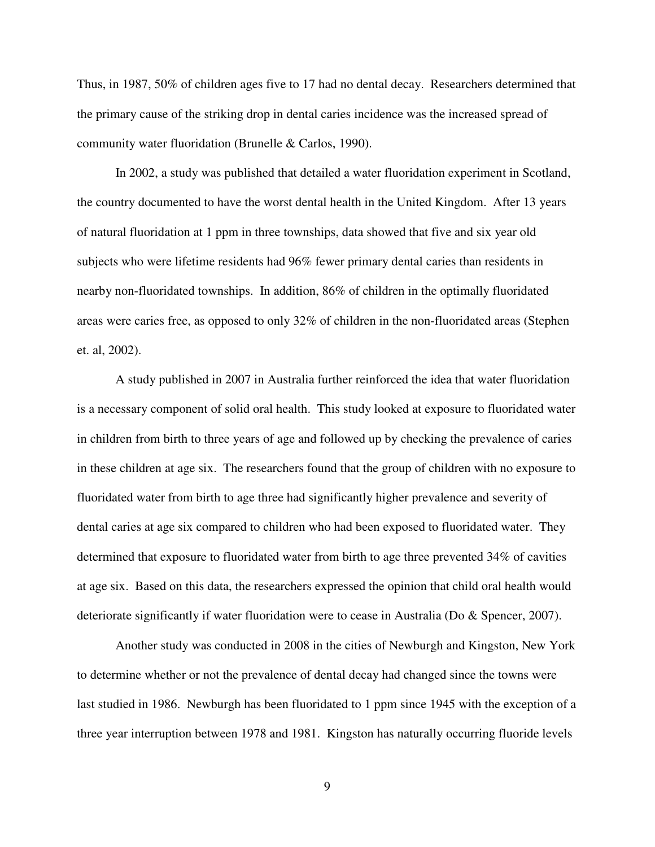Thus, in 1987, 50% of children ages five to 17 had no dental decay. Researchers determined that the primary cause of the striking drop in dental caries incidence was the increased spread of community water fluoridation (Brunelle & Carlos, 1990).

 In 2002, a study was published that detailed a water fluoridation experiment in Scotland, the country documented to have the worst dental health in the United Kingdom. After 13 years of natural fluoridation at 1 ppm in three townships, data showed that five and six year old subjects who were lifetime residents had 96% fewer primary dental caries than residents in nearby non-fluoridated townships. In addition, 86% of children in the optimally fluoridated areas were caries free, as opposed to only 32% of children in the non-fluoridated areas (Stephen et. al, 2002).

A study published in 2007 in Australia further reinforced the idea that water fluoridation is a necessary component of solid oral health. This study looked at exposure to fluoridated water in children from birth to three years of age and followed up by checking the prevalence of caries in these children at age six. The researchers found that the group of children with no exposure to fluoridated water from birth to age three had significantly higher prevalence and severity of dental caries at age six compared to children who had been exposed to fluoridated water. They determined that exposure to fluoridated water from birth to age three prevented 34% of cavities at age six. Based on this data, the researchers expressed the opinion that child oral health would deteriorate significantly if water fluoridation were to cease in Australia (Do & Spencer, 2007).

 Another study was conducted in 2008 in the cities of Newburgh and Kingston, New York to determine whether or not the prevalence of dental decay had changed since the towns were last studied in 1986. Newburgh has been fluoridated to 1 ppm since 1945 with the exception of a three year interruption between 1978 and 1981. Kingston has naturally occurring fluoride levels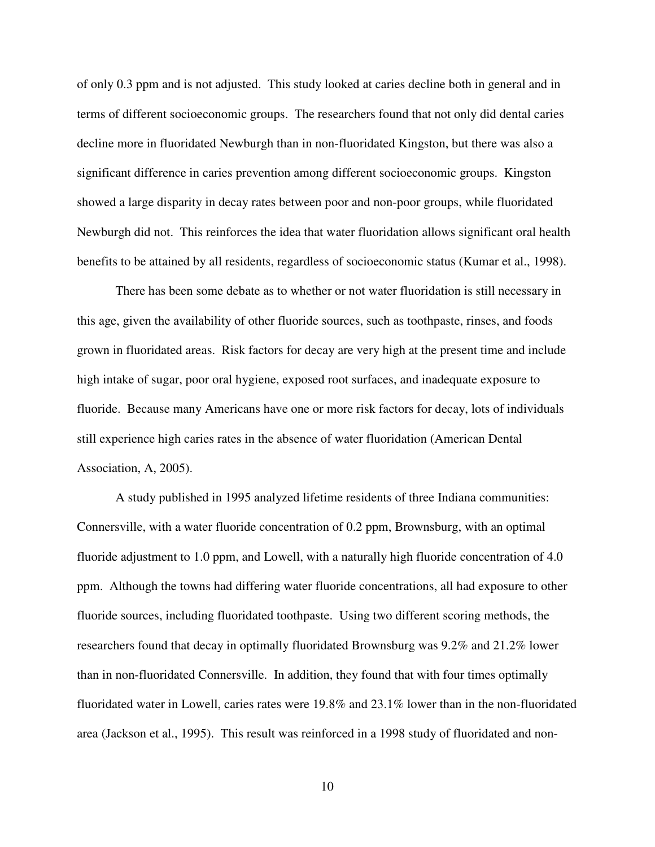of only 0.3 ppm and is not adjusted. This study looked at caries decline both in general and in terms of different socioeconomic groups. The researchers found that not only did dental caries decline more in fluoridated Newburgh than in non-fluoridated Kingston, but there was also a significant difference in caries prevention among different socioeconomic groups. Kingston showed a large disparity in decay rates between poor and non-poor groups, while fluoridated Newburgh did not. This reinforces the idea that water fluoridation allows significant oral health benefits to be attained by all residents, regardless of socioeconomic status (Kumar et al., 1998).

 There has been some debate as to whether or not water fluoridation is still necessary in this age, given the availability of other fluoride sources, such as toothpaste, rinses, and foods grown in fluoridated areas. Risk factors for decay are very high at the present time and include high intake of sugar, poor oral hygiene, exposed root surfaces, and inadequate exposure to fluoride. Because many Americans have one or more risk factors for decay, lots of individuals still experience high caries rates in the absence of water fluoridation (American Dental Association, A, 2005).

A study published in 1995 analyzed lifetime residents of three Indiana communities: Connersville, with a water fluoride concentration of 0.2 ppm, Brownsburg, with an optimal fluoride adjustment to 1.0 ppm, and Lowell, with a naturally high fluoride concentration of 4.0 ppm. Although the towns had differing water fluoride concentrations, all had exposure to other fluoride sources, including fluoridated toothpaste. Using two different scoring methods, the researchers found that decay in optimally fluoridated Brownsburg was 9.2% and 21.2% lower than in non-fluoridated Connersville. In addition, they found that with four times optimally fluoridated water in Lowell, caries rates were 19.8% and 23.1% lower than in the non-fluoridated area (Jackson et al., 1995). This result was reinforced in a 1998 study of fluoridated and non-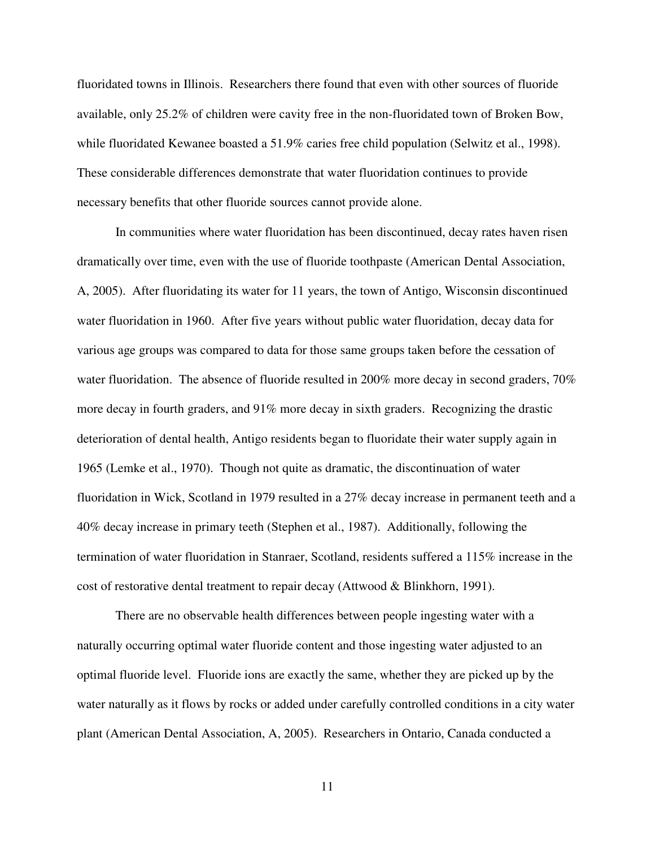fluoridated towns in Illinois. Researchers there found that even with other sources of fluoride available, only 25.2% of children were cavity free in the non-fluoridated town of Broken Bow, while fluoridated Kewanee boasted a 51.9% caries free child population (Selwitz et al., 1998). These considerable differences demonstrate that water fluoridation continues to provide necessary benefits that other fluoride sources cannot provide alone.

In communities where water fluoridation has been discontinued, decay rates haven risen dramatically over time, even with the use of fluoride toothpaste (American Dental Association, A, 2005). After fluoridating its water for 11 years, the town of Antigo, Wisconsin discontinued water fluoridation in 1960. After five years without public water fluoridation, decay data for various age groups was compared to data for those same groups taken before the cessation of water fluoridation. The absence of fluoride resulted in 200% more decay in second graders, 70% more decay in fourth graders, and 91% more decay in sixth graders. Recognizing the drastic deterioration of dental health, Antigo residents began to fluoridate their water supply again in 1965 (Lemke et al., 1970). Though not quite as dramatic, the discontinuation of water fluoridation in Wick, Scotland in 1979 resulted in a 27% decay increase in permanent teeth and a 40% decay increase in primary teeth (Stephen et al., 1987). Additionally, following the termination of water fluoridation in Stanraer, Scotland, residents suffered a 115% increase in the cost of restorative dental treatment to repair decay (Attwood & Blinkhorn, 1991).

There are no observable health differences between people ingesting water with a naturally occurring optimal water fluoride content and those ingesting water adjusted to an optimal fluoride level. Fluoride ions are exactly the same, whether they are picked up by the water naturally as it flows by rocks or added under carefully controlled conditions in a city water plant (American Dental Association, A, 2005). Researchers in Ontario, Canada conducted a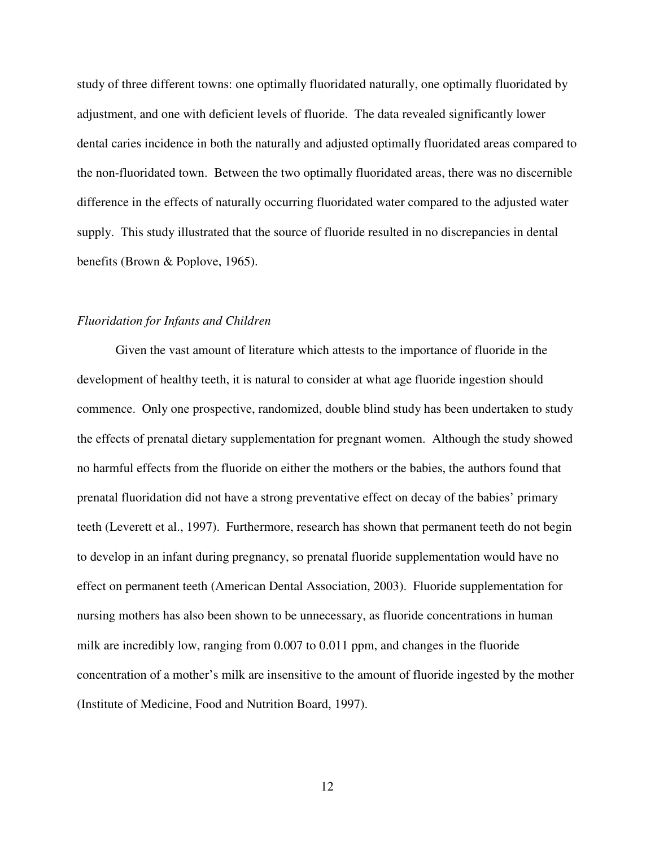study of three different towns: one optimally fluoridated naturally, one optimally fluoridated by adjustment, and one with deficient levels of fluoride. The data revealed significantly lower dental caries incidence in both the naturally and adjusted optimally fluoridated areas compared to the non-fluoridated town. Between the two optimally fluoridated areas, there was no discernible difference in the effects of naturally occurring fluoridated water compared to the adjusted water supply. This study illustrated that the source of fluoride resulted in no discrepancies in dental benefits (Brown & Poplove, 1965).

## *Fluoridation for Infants and Children*

 Given the vast amount of literature which attests to the importance of fluoride in the development of healthy teeth, it is natural to consider at what age fluoride ingestion should commence. Only one prospective, randomized, double blind study has been undertaken to study the effects of prenatal dietary supplementation for pregnant women. Although the study showed no harmful effects from the fluoride on either the mothers or the babies, the authors found that prenatal fluoridation did not have a strong preventative effect on decay of the babies' primary teeth (Leverett et al., 1997). Furthermore, research has shown that permanent teeth do not begin to develop in an infant during pregnancy, so prenatal fluoride supplementation would have no effect on permanent teeth (American Dental Association, 2003). Fluoride supplementation for nursing mothers has also been shown to be unnecessary, as fluoride concentrations in human milk are incredibly low, ranging from 0.007 to 0.011 ppm, and changes in the fluoride concentration of a mother's milk are insensitive to the amount of fluoride ingested by the mother (Institute of Medicine, Food and Nutrition Board, 1997).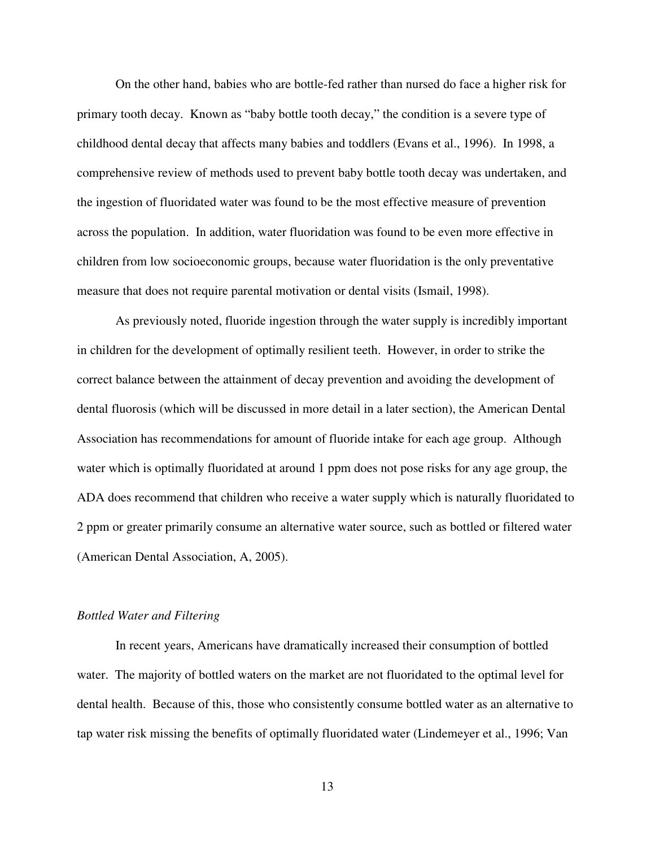On the other hand, babies who are bottle-fed rather than nursed do face a higher risk for primary tooth decay. Known as "baby bottle tooth decay," the condition is a severe type of childhood dental decay that affects many babies and toddlers (Evans et al., 1996). In 1998, a comprehensive review of methods used to prevent baby bottle tooth decay was undertaken, and the ingestion of fluoridated water was found to be the most effective measure of prevention across the population. In addition, water fluoridation was found to be even more effective in children from low socioeconomic groups, because water fluoridation is the only preventative measure that does not require parental motivation or dental visits (Ismail, 1998).

 As previously noted, fluoride ingestion through the water supply is incredibly important in children for the development of optimally resilient teeth. However, in order to strike the correct balance between the attainment of decay prevention and avoiding the development of dental fluorosis (which will be discussed in more detail in a later section), the American Dental Association has recommendations for amount of fluoride intake for each age group. Although water which is optimally fluoridated at around 1 ppm does not pose risks for any age group, the ADA does recommend that children who receive a water supply which is naturally fluoridated to 2 ppm or greater primarily consume an alternative water source, such as bottled or filtered water (American Dental Association, A, 2005).

#### *Bottled Water and Filtering*

 In recent years, Americans have dramatically increased their consumption of bottled water. The majority of bottled waters on the market are not fluoridated to the optimal level for dental health. Because of this, those who consistently consume bottled water as an alternative to tap water risk missing the benefits of optimally fluoridated water (Lindemeyer et al., 1996; Van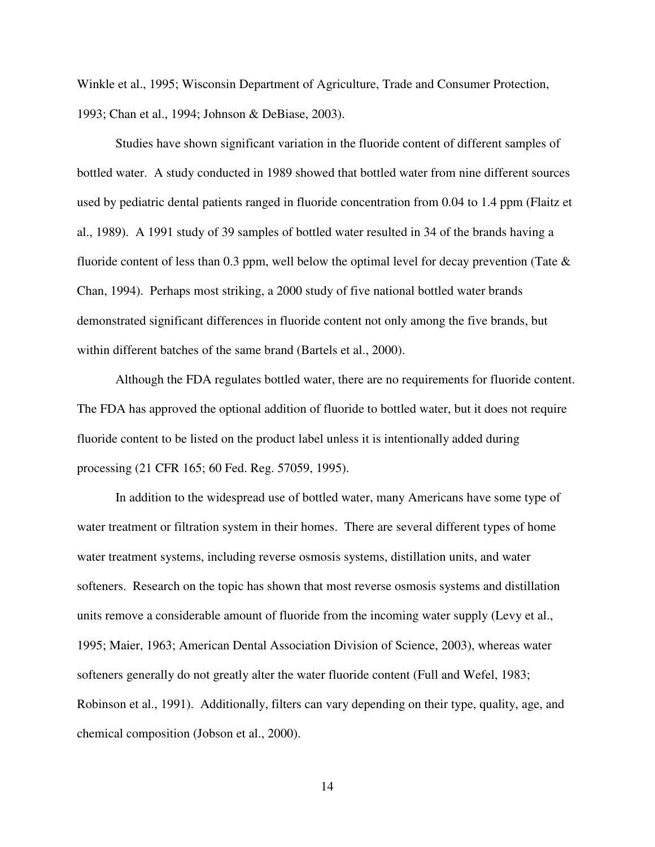Winkle et al., 1995; Wisconsin Department of Agriculture, Trade and Consumer Protection, 1993; Chan et al., 1994; Johnson & DeBiase, 2003).

 Studies have shown significant variation in the fluoride content of different samples of bottled water. A study conducted in 1989 showed that bottled water from nine different sources used by pediatric dental patients ranged in fluoride concentration from 0.04 to 1.4 ppm (Flaitz et al., 1989). A 1991 study of 39 samples of bottled water resulted in 34 of the brands having a fluoride content of less than 0.3 ppm, well below the optimal level for decay prevention (Tate  $\&$ Chan, 1994). Perhaps most striking, a 2000 study of five national bottled water brands demonstrated significant differences in fluoride content not only among the five brands, but within different batches of the same brand (Bartels et al., 2000).

 Although the FDA regulates bottled water, there are no requirements for fluoride content. The FDA has approved the optional addition of fluoride to bottled water, but it does not require fluoride content to be listed on the product label unless it is intentionally added during processing (21 CFR 165; 60 Fed. Reg. 57059, 1995).

 In addition to the widespread use of bottled water, many Americans have some type of water treatment or filtration system in their homes. There are several different types of home water treatment systems, including reverse osmosis systems, distillation units, and water softeners. Research on the topic has shown that most reverse osmosis systems and distillation units remove a considerable amount of fluoride from the incoming water supply (Levy et al., 1995; Maier, 1963; American Dental Association Division of Science, 2003), whereas water softeners generally do not greatly alter the water fluoride content (Full and Wefel, 1983; Robinson et al., 1991). Additionally, filters can vary depending on their type, quality, age, and chemical composition (Jobson et al., 2000).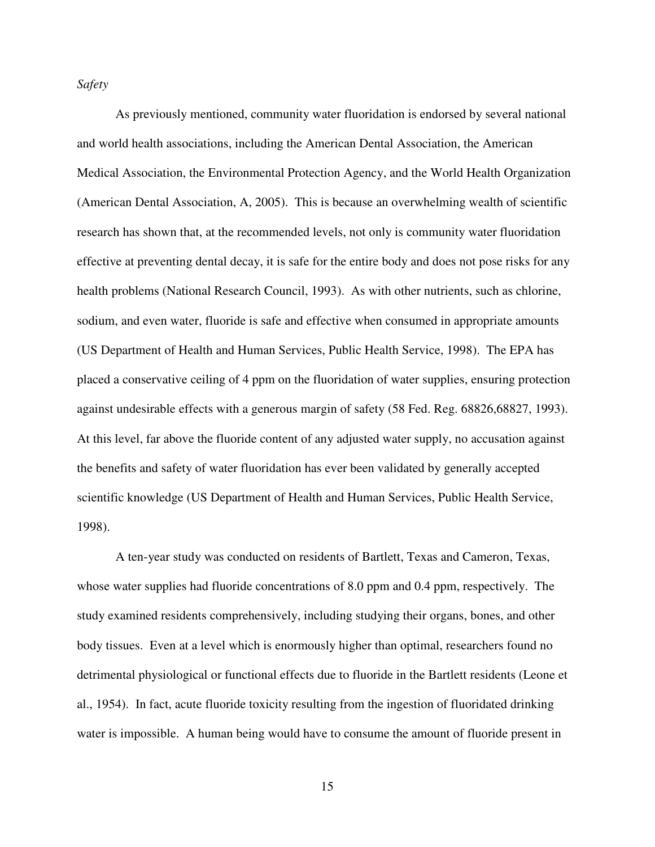*Safety*

 As previously mentioned, community water fluoridation is endorsed by several national and world health associations, including the American Dental Association, the American Medical Association, the Environmental Protection Agency, and the World Health Organization (American Dental Association, A, 2005). This is because an overwhelming wealth of scientific research has shown that, at the recommended levels, not only is community water fluoridation effective at preventing dental decay, it is safe for the entire body and does not pose risks for any health problems (National Research Council, 1993). As with other nutrients, such as chlorine, sodium, and even water, fluoride is safe and effective when consumed in appropriate amounts (US Department of Health and Human Services, Public Health Service, 1998). The EPA has placed a conservative ceiling of 4 ppm on the fluoridation of water supplies, ensuring protection against undesirable effects with a generous margin of safety (58 Fed. Reg. 68826,68827, 1993). At this level, far above the fluoride content of any adjusted water supply, no accusation against the benefits and safety of water fluoridation has ever been validated by generally accepted scientific knowledge (US Department of Health and Human Services, Public Health Service, 1998).

 A ten-year study was conducted on residents of Bartlett, Texas and Cameron, Texas, whose water supplies had fluoride concentrations of 8.0 ppm and 0.4 ppm, respectively. The study examined residents comprehensively, including studying their organs, bones, and other body tissues. Even at a level which is enormously higher than optimal, researchers found no detrimental physiological or functional effects due to fluoride in the Bartlett residents (Leone et al., 1954). In fact, acute fluoride toxicity resulting from the ingestion of fluoridated drinking water is impossible. A human being would have to consume the amount of fluoride present in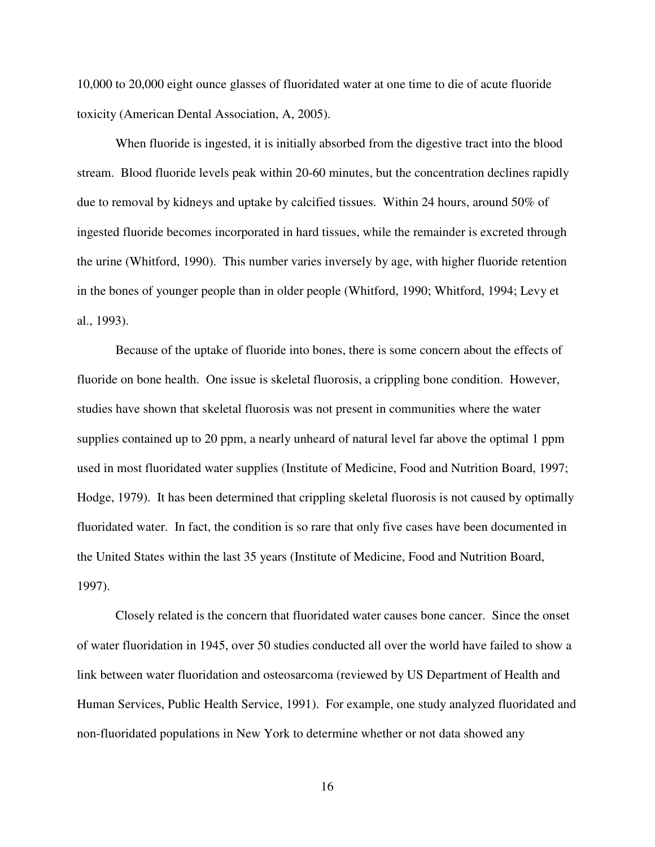10,000 to 20,000 eight ounce glasses of fluoridated water at one time to die of acute fluoride toxicity (American Dental Association, A, 2005).

 When fluoride is ingested, it is initially absorbed from the digestive tract into the blood stream. Blood fluoride levels peak within 20-60 minutes, but the concentration declines rapidly due to removal by kidneys and uptake by calcified tissues. Within 24 hours, around 50% of ingested fluoride becomes incorporated in hard tissues, while the remainder is excreted through the urine (Whitford, 1990). This number varies inversely by age, with higher fluoride retention in the bones of younger people than in older people (Whitford, 1990; Whitford, 1994; Levy et al., 1993).

 Because of the uptake of fluoride into bones, there is some concern about the effects of fluoride on bone health. One issue is skeletal fluorosis, a crippling bone condition. However, studies have shown that skeletal fluorosis was not present in communities where the water supplies contained up to 20 ppm, a nearly unheard of natural level far above the optimal 1 ppm used in most fluoridated water supplies (Institute of Medicine, Food and Nutrition Board, 1997; Hodge, 1979). It has been determined that crippling skeletal fluorosis is not caused by optimally fluoridated water. In fact, the condition is so rare that only five cases have been documented in the United States within the last 35 years (Institute of Medicine, Food and Nutrition Board, 1997).

 Closely related is the concern that fluoridated water causes bone cancer. Since the onset of water fluoridation in 1945, over 50 studies conducted all over the world have failed to show a link between water fluoridation and osteosarcoma (reviewed by US Department of Health and Human Services, Public Health Service, 1991). For example, one study analyzed fluoridated and non-fluoridated populations in New York to determine whether or not data showed any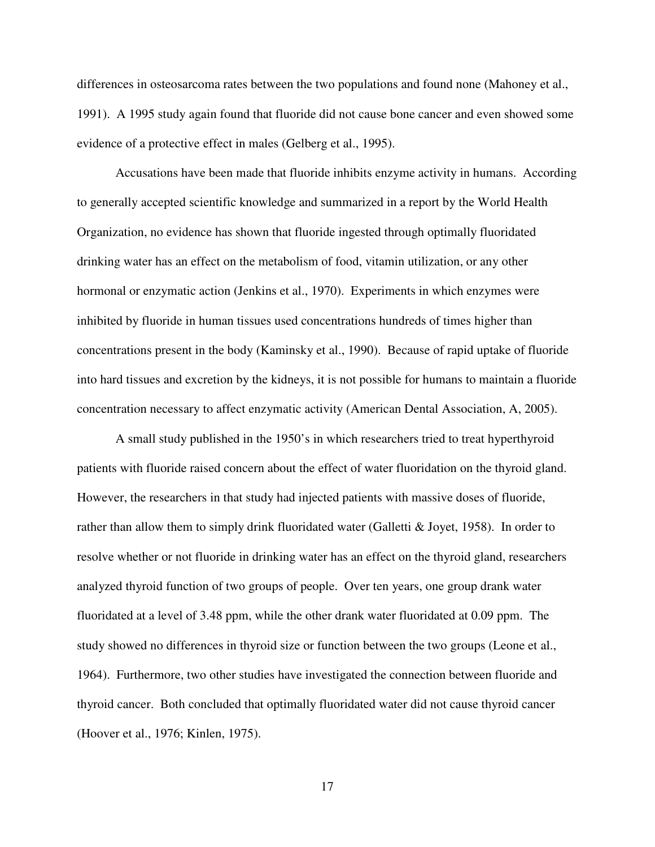differences in osteosarcoma rates between the two populations and found none (Mahoney et al., 1991). A 1995 study again found that fluoride did not cause bone cancer and even showed some evidence of a protective effect in males (Gelberg et al., 1995).

Accusations have been made that fluoride inhibits enzyme activity in humans. According to generally accepted scientific knowledge and summarized in a report by the World Health Organization, no evidence has shown that fluoride ingested through optimally fluoridated drinking water has an effect on the metabolism of food, vitamin utilization, or any other hormonal or enzymatic action (Jenkins et al., 1970). Experiments in which enzymes were inhibited by fluoride in human tissues used concentrations hundreds of times higher than concentrations present in the body (Kaminsky et al., 1990). Because of rapid uptake of fluoride into hard tissues and excretion by the kidneys, it is not possible for humans to maintain a fluoride concentration necessary to affect enzymatic activity (American Dental Association, A, 2005).

 A small study published in the 1950's in which researchers tried to treat hyperthyroid patients with fluoride raised concern about the effect of water fluoridation on the thyroid gland. However, the researchers in that study had injected patients with massive doses of fluoride, rather than allow them to simply drink fluoridated water (Galletti & Joyet, 1958). In order to resolve whether or not fluoride in drinking water has an effect on the thyroid gland, researchers analyzed thyroid function of two groups of people. Over ten years, one group drank water fluoridated at a level of 3.48 ppm, while the other drank water fluoridated at 0.09 ppm. The study showed no differences in thyroid size or function between the two groups (Leone et al., 1964). Furthermore, two other studies have investigated the connection between fluoride and thyroid cancer. Both concluded that optimally fluoridated water did not cause thyroid cancer (Hoover et al., 1976; Kinlen, 1975).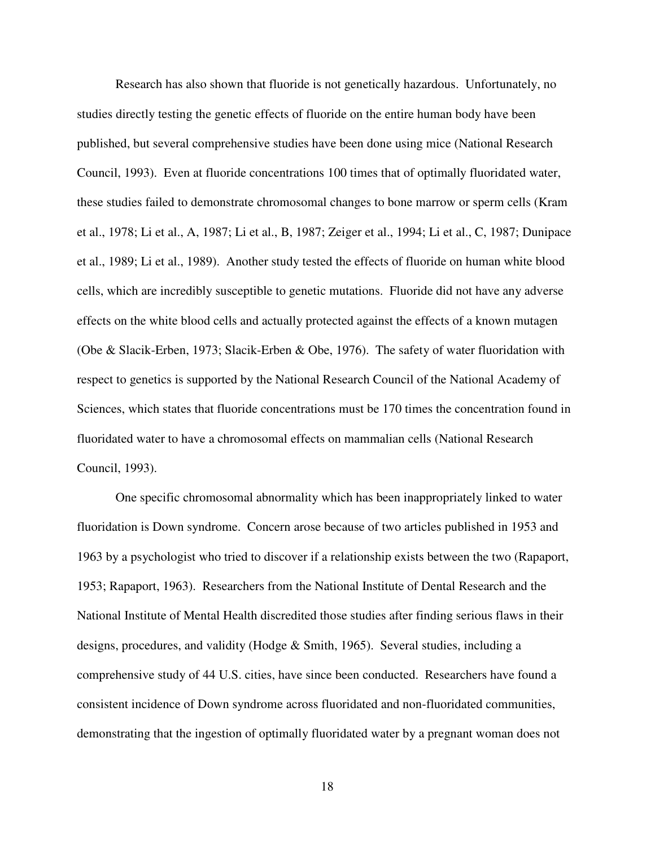Research has also shown that fluoride is not genetically hazardous. Unfortunately, no studies directly testing the genetic effects of fluoride on the entire human body have been published, but several comprehensive studies have been done using mice (National Research Council, 1993). Even at fluoride concentrations 100 times that of optimally fluoridated water, these studies failed to demonstrate chromosomal changes to bone marrow or sperm cells (Kram et al., 1978; Li et al., A, 1987; Li et al., B, 1987; Zeiger et al., 1994; Li et al., C, 1987; Dunipace et al., 1989; Li et al., 1989). Another study tested the effects of fluoride on human white blood cells, which are incredibly susceptible to genetic mutations. Fluoride did not have any adverse effects on the white blood cells and actually protected against the effects of a known mutagen (Obe & Slacik-Erben, 1973; Slacik-Erben & Obe, 1976). The safety of water fluoridation with respect to genetics is supported by the National Research Council of the National Academy of Sciences, which states that fluoride concentrations must be 170 times the concentration found in fluoridated water to have a chromosomal effects on mammalian cells (National Research Council, 1993).

 One specific chromosomal abnormality which has been inappropriately linked to water fluoridation is Down syndrome. Concern arose because of two articles published in 1953 and 1963 by a psychologist who tried to discover if a relationship exists between the two (Rapaport, 1953; Rapaport, 1963). Researchers from the National Institute of Dental Research and the National Institute of Mental Health discredited those studies after finding serious flaws in their designs, procedures, and validity (Hodge & Smith, 1965). Several studies, including a comprehensive study of 44 U.S. cities, have since been conducted. Researchers have found a consistent incidence of Down syndrome across fluoridated and non-fluoridated communities, demonstrating that the ingestion of optimally fluoridated water by a pregnant woman does not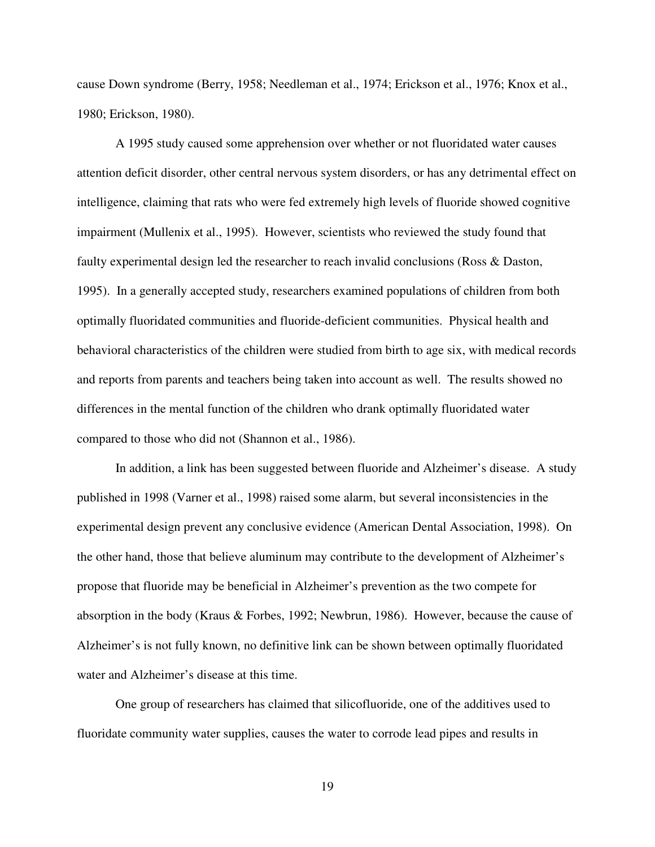cause Down syndrome (Berry, 1958; Needleman et al., 1974; Erickson et al., 1976; Knox et al., 1980; Erickson, 1980).

 A 1995 study caused some apprehension over whether or not fluoridated water causes attention deficit disorder, other central nervous system disorders, or has any detrimental effect on intelligence, claiming that rats who were fed extremely high levels of fluoride showed cognitive impairment (Mullenix et al., 1995). However, scientists who reviewed the study found that faulty experimental design led the researcher to reach invalid conclusions (Ross & Daston, 1995). In a generally accepted study, researchers examined populations of children from both optimally fluoridated communities and fluoride-deficient communities. Physical health and behavioral characteristics of the children were studied from birth to age six, with medical records and reports from parents and teachers being taken into account as well. The results showed no differences in the mental function of the children who drank optimally fluoridated water compared to those who did not (Shannon et al., 1986).

In addition, a link has been suggested between fluoride and Alzheimer's disease. A study published in 1998 (Varner et al., 1998) raised some alarm, but several inconsistencies in the experimental design prevent any conclusive evidence (American Dental Association, 1998). On the other hand, those that believe aluminum may contribute to the development of Alzheimer's propose that fluoride may be beneficial in Alzheimer's prevention as the two compete for absorption in the body (Kraus & Forbes, 1992; Newbrun, 1986). However, because the cause of Alzheimer's is not fully known, no definitive link can be shown between optimally fluoridated water and Alzheimer's disease at this time.

 One group of researchers has claimed that silicofluoride, one of the additives used to fluoridate community water supplies, causes the water to corrode lead pipes and results in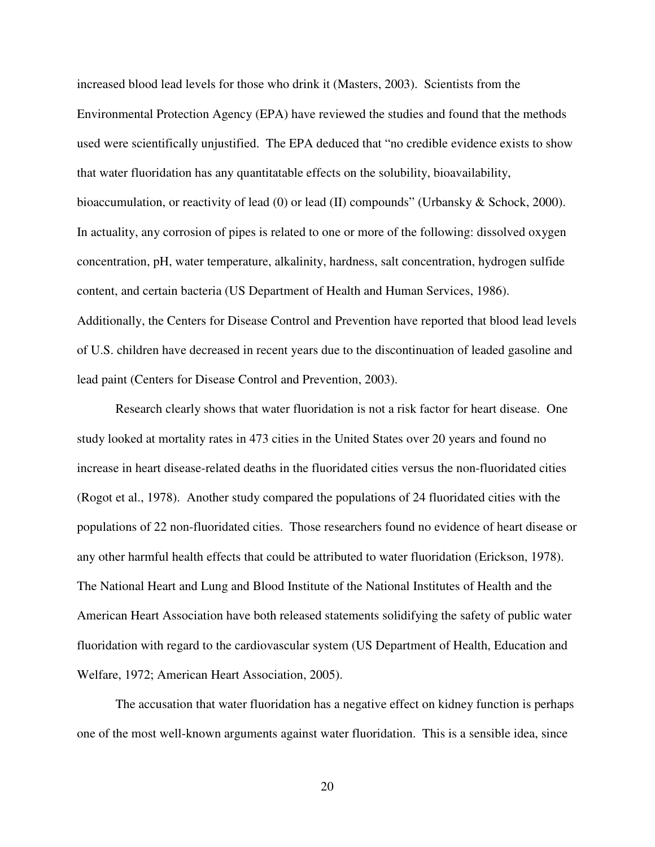increased blood lead levels for those who drink it (Masters, 2003). Scientists from the Environmental Protection Agency (EPA) have reviewed the studies and found that the methods used were scientifically unjustified. The EPA deduced that "no credible evidence exists to show that water fluoridation has any quantitatable effects on the solubility, bioavailability, bioaccumulation, or reactivity of lead (0) or lead (II) compounds" (Urbansky & Schock, 2000). In actuality, any corrosion of pipes is related to one or more of the following: dissolved oxygen concentration, pH, water temperature, alkalinity, hardness, salt concentration, hydrogen sulfide content, and certain bacteria (US Department of Health and Human Services, 1986). Additionally, the Centers for Disease Control and Prevention have reported that blood lead levels of U.S. children have decreased in recent years due to the discontinuation of leaded gasoline and lead paint (Centers for Disease Control and Prevention, 2003).

 Research clearly shows that water fluoridation is not a risk factor for heart disease. One study looked at mortality rates in 473 cities in the United States over 20 years and found no increase in heart disease-related deaths in the fluoridated cities versus the non-fluoridated cities (Rogot et al., 1978). Another study compared the populations of 24 fluoridated cities with the populations of 22 non-fluoridated cities. Those researchers found no evidence of heart disease or any other harmful health effects that could be attributed to water fluoridation (Erickson, 1978). The National Heart and Lung and Blood Institute of the National Institutes of Health and the American Heart Association have both released statements solidifying the safety of public water fluoridation with regard to the cardiovascular system (US Department of Health, Education and Welfare, 1972; American Heart Association, 2005).

 The accusation that water fluoridation has a negative effect on kidney function is perhaps one of the most well-known arguments against water fluoridation. This is a sensible idea, since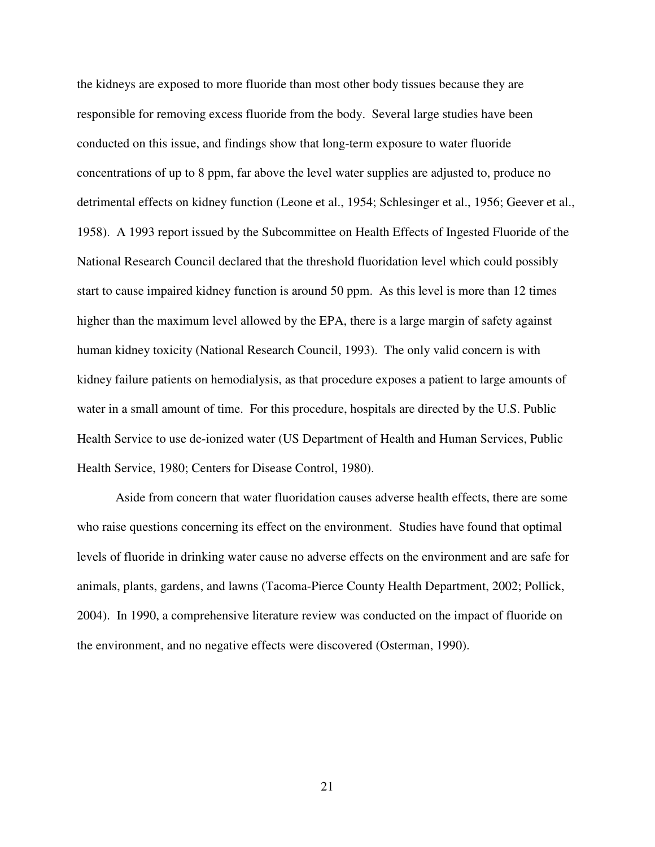the kidneys are exposed to more fluoride than most other body tissues because they are responsible for removing excess fluoride from the body. Several large studies have been conducted on this issue, and findings show that long-term exposure to water fluoride concentrations of up to 8 ppm, far above the level water supplies are adjusted to, produce no detrimental effects on kidney function (Leone et al., 1954; Schlesinger et al., 1956; Geever et al., 1958). A 1993 report issued by the Subcommittee on Health Effects of Ingested Fluoride of the National Research Council declared that the threshold fluoridation level which could possibly start to cause impaired kidney function is around 50 ppm. As this level is more than 12 times higher than the maximum level allowed by the EPA, there is a large margin of safety against human kidney toxicity (National Research Council, 1993). The only valid concern is with kidney failure patients on hemodialysis, as that procedure exposes a patient to large amounts of water in a small amount of time. For this procedure, hospitals are directed by the U.S. Public Health Service to use de-ionized water (US Department of Health and Human Services, Public Health Service, 1980; Centers for Disease Control, 1980).

 Aside from concern that water fluoridation causes adverse health effects, there are some who raise questions concerning its effect on the environment. Studies have found that optimal levels of fluoride in drinking water cause no adverse effects on the environment and are safe for animals, plants, gardens, and lawns (Tacoma-Pierce County Health Department, 2002; Pollick, 2004). In 1990, a comprehensive literature review was conducted on the impact of fluoride on the environment, and no negative effects were discovered (Osterman, 1990).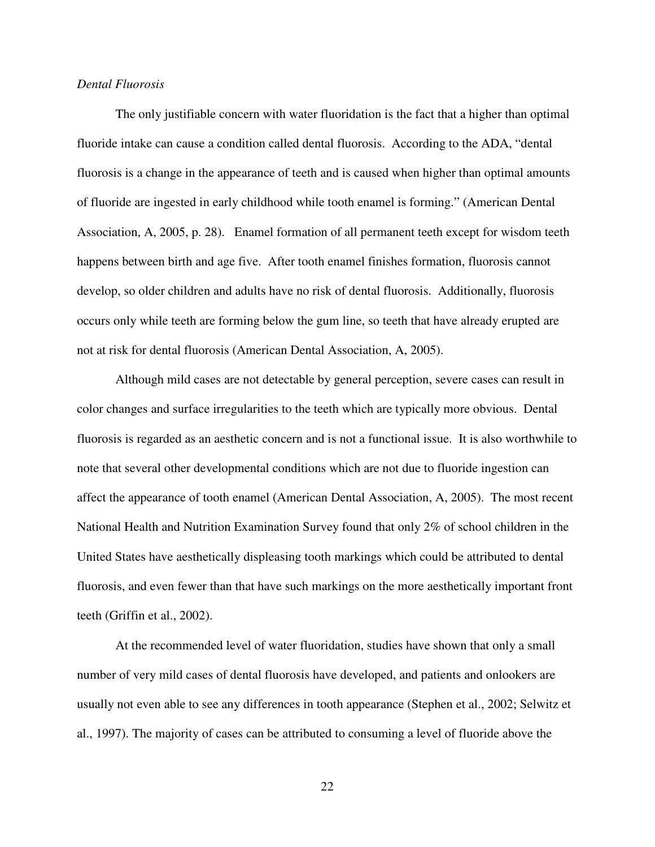## *Dental Fluorosis*

 The only justifiable concern with water fluoridation is the fact that a higher than optimal fluoride intake can cause a condition called dental fluorosis. According to the ADA, "dental fluorosis is a change in the appearance of teeth and is caused when higher than optimal amounts of fluoride are ingested in early childhood while tooth enamel is forming." (American Dental Association, A, 2005, p. 28). Enamel formation of all permanent teeth except for wisdom teeth happens between birth and age five. After tooth enamel finishes formation, fluorosis cannot develop, so older children and adults have no risk of dental fluorosis. Additionally, fluorosis occurs only while teeth are forming below the gum line, so teeth that have already erupted are not at risk for dental fluorosis (American Dental Association, A, 2005).

Although mild cases are not detectable by general perception, severe cases can result in color changes and surface irregularities to the teeth which are typically more obvious. Dental fluorosis is regarded as an aesthetic concern and is not a functional issue. It is also worthwhile to note that several other developmental conditions which are not due to fluoride ingestion can affect the appearance of tooth enamel (American Dental Association, A, 2005). The most recent National Health and Nutrition Examination Survey found that only 2% of school children in the United States have aesthetically displeasing tooth markings which could be attributed to dental fluorosis, and even fewer than that have such markings on the more aesthetically important front teeth (Griffin et al., 2002).

At the recommended level of water fluoridation, studies have shown that only a small number of very mild cases of dental fluorosis have developed, and patients and onlookers are usually not even able to see any differences in tooth appearance (Stephen et al., 2002; Selwitz et al., 1997). The majority of cases can be attributed to consuming a level of fluoride above the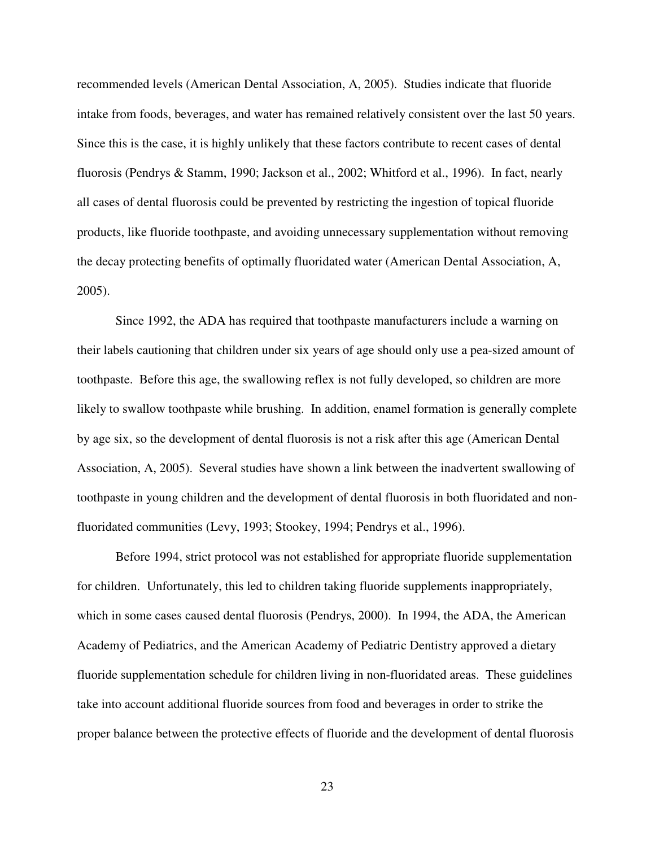recommended levels (American Dental Association, A, 2005). Studies indicate that fluoride intake from foods, beverages, and water has remained relatively consistent over the last 50 years. Since this is the case, it is highly unlikely that these factors contribute to recent cases of dental fluorosis (Pendrys & Stamm, 1990; Jackson et al., 2002; Whitford et al., 1996). In fact, nearly all cases of dental fluorosis could be prevented by restricting the ingestion of topical fluoride products, like fluoride toothpaste, and avoiding unnecessary supplementation without removing the decay protecting benefits of optimally fluoridated water (American Dental Association, A, 2005).

Since 1992, the ADA has required that toothpaste manufacturers include a warning on their labels cautioning that children under six years of age should only use a pea-sized amount of toothpaste. Before this age, the swallowing reflex is not fully developed, so children are more likely to swallow toothpaste while brushing. In addition, enamel formation is generally complete by age six, so the development of dental fluorosis is not a risk after this age (American Dental Association, A, 2005). Several studies have shown a link between the inadvertent swallowing of toothpaste in young children and the development of dental fluorosis in both fluoridated and nonfluoridated communities (Levy, 1993; Stookey, 1994; Pendrys et al., 1996).

Before 1994, strict protocol was not established for appropriate fluoride supplementation for children. Unfortunately, this led to children taking fluoride supplements inappropriately, which in some cases caused dental fluorosis (Pendrys, 2000). In 1994, the ADA, the American Academy of Pediatrics, and the American Academy of Pediatric Dentistry approved a dietary fluoride supplementation schedule for children living in non-fluoridated areas. These guidelines take into account additional fluoride sources from food and beverages in order to strike the proper balance between the protective effects of fluoride and the development of dental fluorosis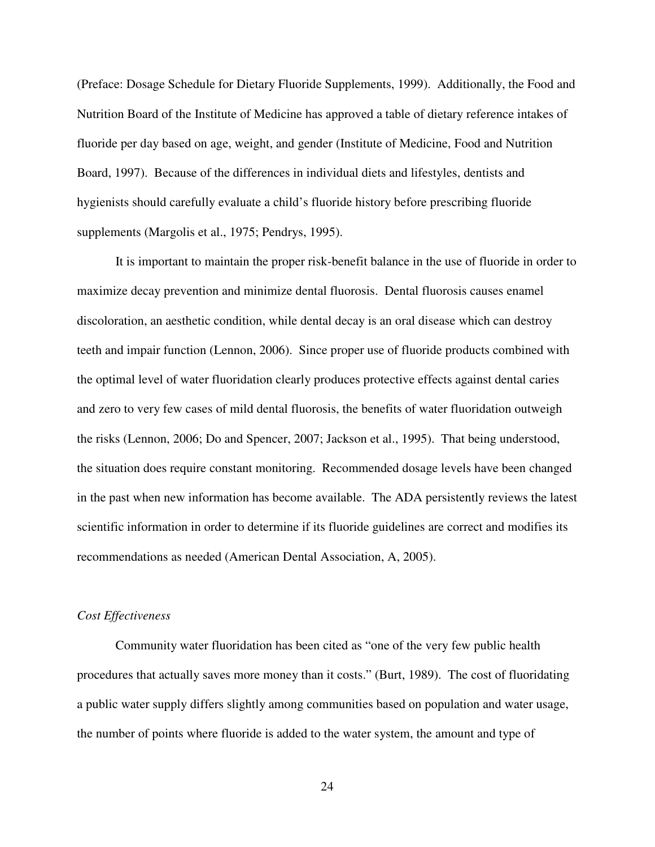(Preface: Dosage Schedule for Dietary Fluoride Supplements, 1999). Additionally, the Food and Nutrition Board of the Institute of Medicine has approved a table of dietary reference intakes of fluoride per day based on age, weight, and gender (Institute of Medicine, Food and Nutrition Board, 1997). Because of the differences in individual diets and lifestyles, dentists and hygienists should carefully evaluate a child's fluoride history before prescribing fluoride supplements (Margolis et al., 1975; Pendrys, 1995).

It is important to maintain the proper risk-benefit balance in the use of fluoride in order to maximize decay prevention and minimize dental fluorosis. Dental fluorosis causes enamel discoloration, an aesthetic condition, while dental decay is an oral disease which can destroy teeth and impair function (Lennon, 2006). Since proper use of fluoride products combined with the optimal level of water fluoridation clearly produces protective effects against dental caries and zero to very few cases of mild dental fluorosis, the benefits of water fluoridation outweigh the risks (Lennon, 2006; Do and Spencer, 2007; Jackson et al., 1995). That being understood, the situation does require constant monitoring. Recommended dosage levels have been changed in the past when new information has become available. The ADA persistently reviews the latest scientific information in order to determine if its fluoride guidelines are correct and modifies its recommendations as needed (American Dental Association, A, 2005).

#### *Cost Effectiveness*

 Community water fluoridation has been cited as "one of the very few public health procedures that actually saves more money than it costs." (Burt, 1989). The cost of fluoridating a public water supply differs slightly among communities based on population and water usage, the number of points where fluoride is added to the water system, the amount and type of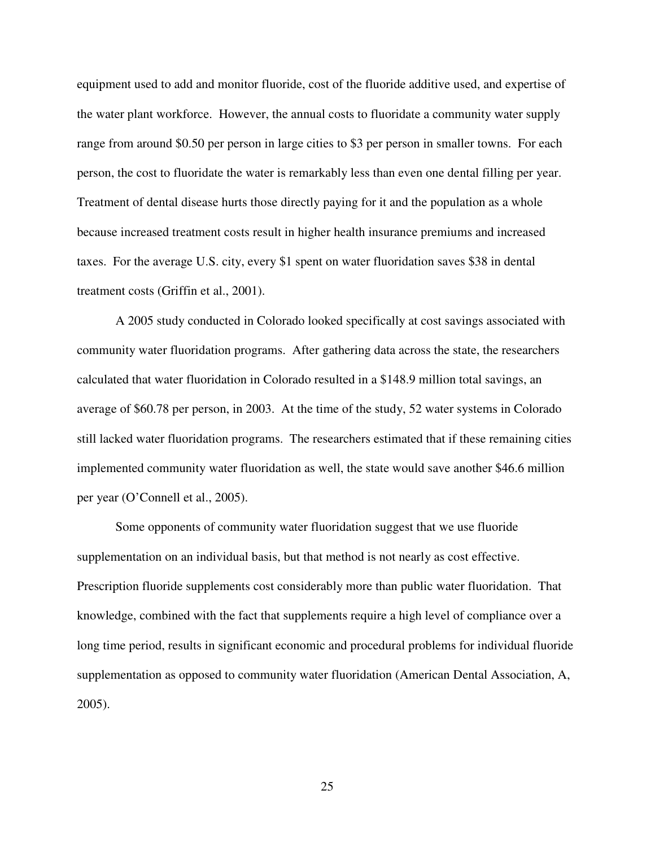equipment used to add and monitor fluoride, cost of the fluoride additive used, and expertise of the water plant workforce. However, the annual costs to fluoridate a community water supply range from around \$0.50 per person in large cities to \$3 per person in smaller towns. For each person, the cost to fluoridate the water is remarkably less than even one dental filling per year. Treatment of dental disease hurts those directly paying for it and the population as a whole because increased treatment costs result in higher health insurance premiums and increased taxes. For the average U.S. city, every \$1 spent on water fluoridation saves \$38 in dental treatment costs (Griffin et al., 2001).

 A 2005 study conducted in Colorado looked specifically at cost savings associated with community water fluoridation programs. After gathering data across the state, the researchers calculated that water fluoridation in Colorado resulted in a \$148.9 million total savings, an average of \$60.78 per person, in 2003. At the time of the study, 52 water systems in Colorado still lacked water fluoridation programs. The researchers estimated that if these remaining cities implemented community water fluoridation as well, the state would save another \$46.6 million per year (O'Connell et al., 2005).

 Some opponents of community water fluoridation suggest that we use fluoride supplementation on an individual basis, but that method is not nearly as cost effective. Prescription fluoride supplements cost considerably more than public water fluoridation. That knowledge, combined with the fact that supplements require a high level of compliance over a long time period, results in significant economic and procedural problems for individual fluoride supplementation as opposed to community water fluoridation (American Dental Association, A, 2005).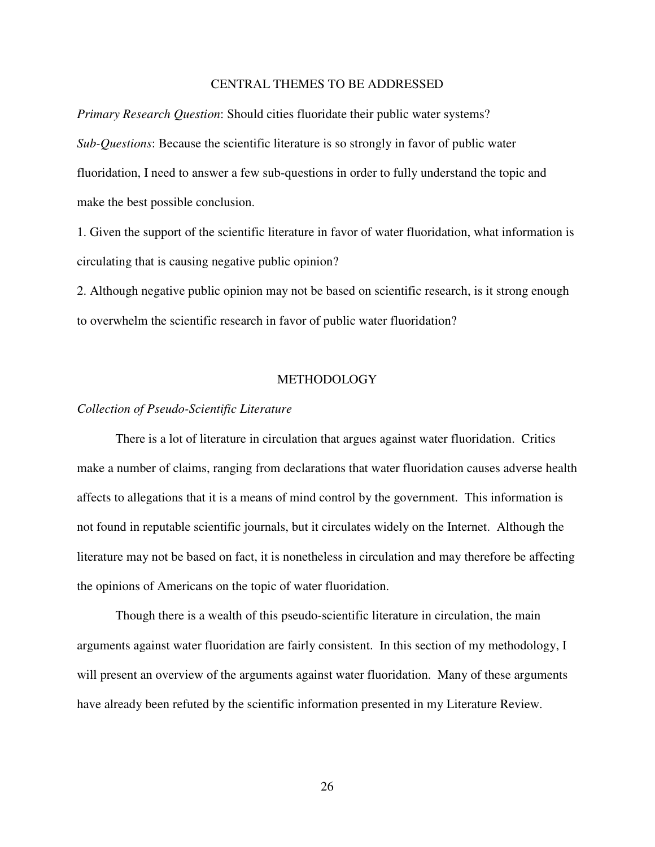## CENTRAL THEMES TO BE ADDRESSED

*Primary Research Question*: Should cities fluoridate their public water systems? *Sub-Questions*: Because the scientific literature is so strongly in favor of public water fluoridation, I need to answer a few sub-questions in order to fully understand the topic and make the best possible conclusion.

1. Given the support of the scientific literature in favor of water fluoridation, what information is circulating that is causing negative public opinion?

2. Although negative public opinion may not be based on scientific research, is it strong enough to overwhelm the scientific research in favor of public water fluoridation?

## METHODOLOGY

#### *Collection of Pseudo-Scientific Literature*

 There is a lot of literature in circulation that argues against water fluoridation. Critics make a number of claims, ranging from declarations that water fluoridation causes adverse health affects to allegations that it is a means of mind control by the government. This information is not found in reputable scientific journals, but it circulates widely on the Internet. Although the literature may not be based on fact, it is nonetheless in circulation and may therefore be affecting the opinions of Americans on the topic of water fluoridation.

Though there is a wealth of this pseudo-scientific literature in circulation, the main arguments against water fluoridation are fairly consistent. In this section of my methodology, I will present an overview of the arguments against water fluoridation. Many of these arguments have already been refuted by the scientific information presented in my Literature Review.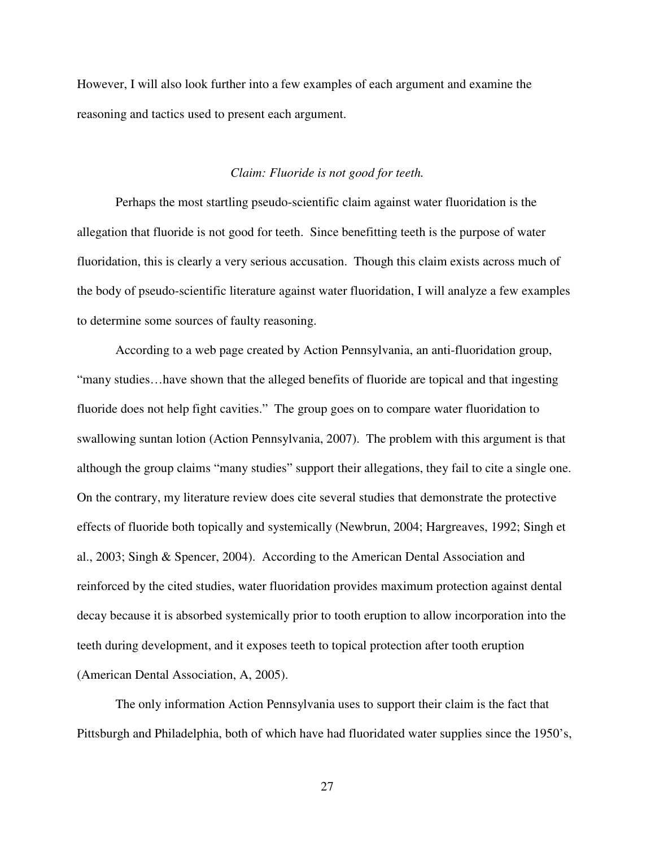However, I will also look further into a few examples of each argument and examine the reasoning and tactics used to present each argument.

## *Claim: Fluoride is not good for teeth.*

 Perhaps the most startling pseudo-scientific claim against water fluoridation is the allegation that fluoride is not good for teeth. Since benefitting teeth is the purpose of water fluoridation, this is clearly a very serious accusation. Though this claim exists across much of the body of pseudo-scientific literature against water fluoridation, I will analyze a few examples to determine some sources of faulty reasoning.

 According to a web page created by Action Pennsylvania, an anti-fluoridation group, "many studies…have shown that the alleged benefits of fluoride are topical and that ingesting fluoride does not help fight cavities." The group goes on to compare water fluoridation to swallowing suntan lotion (Action Pennsylvania, 2007). The problem with this argument is that although the group claims "many studies" support their allegations, they fail to cite a single one. On the contrary, my literature review does cite several studies that demonstrate the protective effects of fluoride both topically and systemically (Newbrun, 2004; Hargreaves, 1992; Singh et al., 2003; Singh & Spencer, 2004). According to the American Dental Association and reinforced by the cited studies, water fluoridation provides maximum protection against dental decay because it is absorbed systemically prior to tooth eruption to allow incorporation into the teeth during development, and it exposes teeth to topical protection after tooth eruption (American Dental Association, A, 2005).

 The only information Action Pennsylvania uses to support their claim is the fact that Pittsburgh and Philadelphia, both of which have had fluoridated water supplies since the 1950's,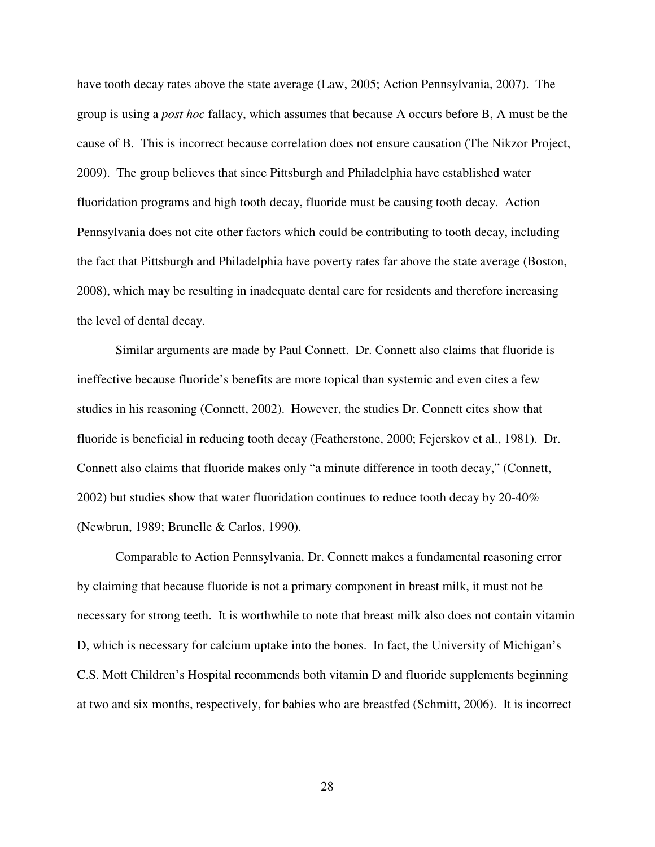have tooth decay rates above the state average (Law, 2005; Action Pennsylvania, 2007). The group is using a *post hoc* fallacy, which assumes that because A occurs before B, A must be the cause of B. This is incorrect because correlation does not ensure causation (The Nikzor Project, 2009). The group believes that since Pittsburgh and Philadelphia have established water fluoridation programs and high tooth decay, fluoride must be causing tooth decay. Action Pennsylvania does not cite other factors which could be contributing to tooth decay, including the fact that Pittsburgh and Philadelphia have poverty rates far above the state average (Boston, 2008), which may be resulting in inadequate dental care for residents and therefore increasing the level of dental decay.

 Similar arguments are made by Paul Connett. Dr. Connett also claims that fluoride is ineffective because fluoride's benefits are more topical than systemic and even cites a few studies in his reasoning (Connett, 2002). However, the studies Dr. Connett cites show that fluoride is beneficial in reducing tooth decay (Featherstone, 2000; Fejerskov et al., 1981). Dr. Connett also claims that fluoride makes only "a minute difference in tooth decay," (Connett, 2002) but studies show that water fluoridation continues to reduce tooth decay by 20-40% (Newbrun, 1989; Brunelle & Carlos, 1990).

Comparable to Action Pennsylvania, Dr. Connett makes a fundamental reasoning error by claiming that because fluoride is not a primary component in breast milk, it must not be necessary for strong teeth. It is worthwhile to note that breast milk also does not contain vitamin D, which is necessary for calcium uptake into the bones. In fact, the University of Michigan's C.S. Mott Children's Hospital recommends both vitamin D and fluoride supplements beginning at two and six months, respectively, for babies who are breastfed (Schmitt, 2006). It is incorrect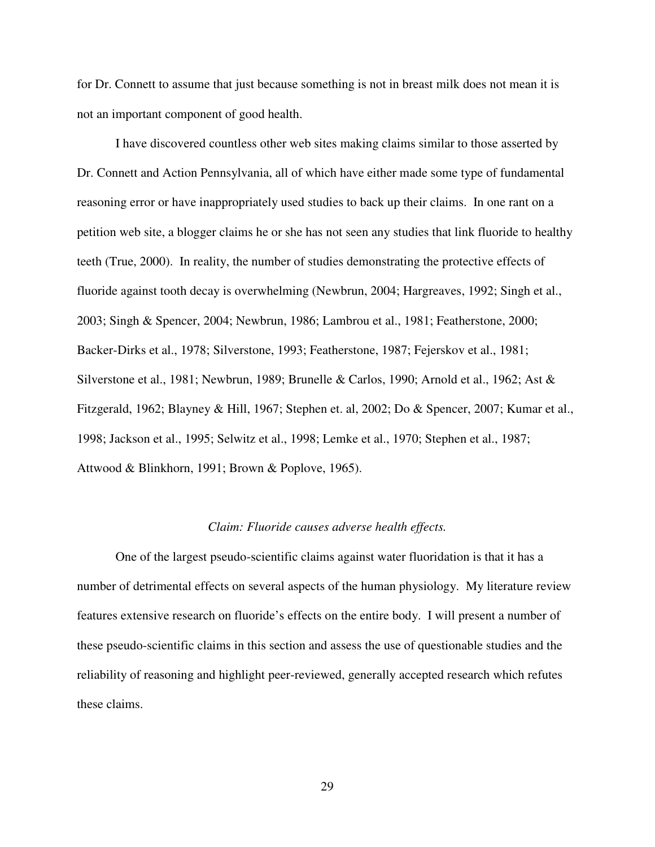for Dr. Connett to assume that just because something is not in breast milk does not mean it is not an important component of good health.

I have discovered countless other web sites making claims similar to those asserted by Dr. Connett and Action Pennsylvania, all of which have either made some type of fundamental reasoning error or have inappropriately used studies to back up their claims. In one rant on a petition web site, a blogger claims he or she has not seen any studies that link fluoride to healthy teeth (True, 2000). In reality, the number of studies demonstrating the protective effects of fluoride against tooth decay is overwhelming (Newbrun, 2004; Hargreaves, 1992; Singh et al., 2003; Singh & Spencer, 2004; Newbrun, 1986; Lambrou et al., 1981; Featherstone, 2000; Backer-Dirks et al., 1978; Silverstone, 1993; Featherstone, 1987; Fejerskov et al., 1981; Silverstone et al., 1981; Newbrun, 1989; Brunelle & Carlos, 1990; Arnold et al., 1962; Ast & Fitzgerald, 1962; Blayney & Hill, 1967; Stephen et. al, 2002; Do & Spencer, 2007; Kumar et al., 1998; Jackson et al., 1995; Selwitz et al., 1998; Lemke et al., 1970; Stephen et al., 1987; Attwood & Blinkhorn, 1991; Brown & Poplove, 1965).

#### *Claim: Fluoride causes adverse health effects.*

 One of the largest pseudo-scientific claims against water fluoridation is that it has a number of detrimental effects on several aspects of the human physiology. My literature review features extensive research on fluoride's effects on the entire body. I will present a number of these pseudo-scientific claims in this section and assess the use of questionable studies and the reliability of reasoning and highlight peer-reviewed, generally accepted research which refutes these claims.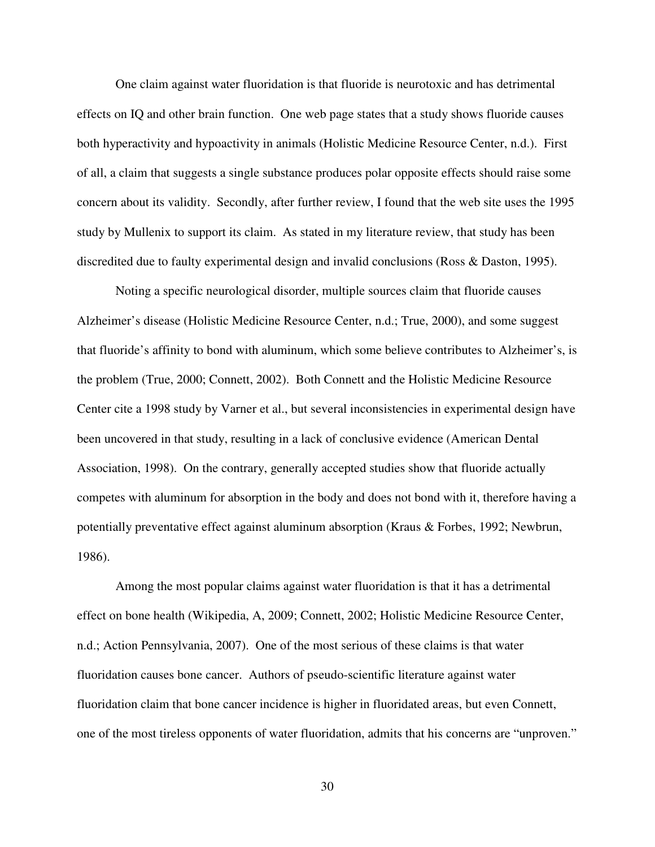One claim against water fluoridation is that fluoride is neurotoxic and has detrimental effects on IQ and other brain function. One web page states that a study shows fluoride causes both hyperactivity and hypoactivity in animals (Holistic Medicine Resource Center, n.d.). First of all, a claim that suggests a single substance produces polar opposite effects should raise some concern about its validity. Secondly, after further review, I found that the web site uses the 1995 study by Mullenix to support its claim. As stated in my literature review, that study has been discredited due to faulty experimental design and invalid conclusions (Ross & Daston, 1995).

 Noting a specific neurological disorder, multiple sources claim that fluoride causes Alzheimer's disease (Holistic Medicine Resource Center, n.d.; True, 2000), and some suggest that fluoride's affinity to bond with aluminum, which some believe contributes to Alzheimer's, is the problem (True, 2000; Connett, 2002). Both Connett and the Holistic Medicine Resource Center cite a 1998 study by Varner et al., but several inconsistencies in experimental design have been uncovered in that study, resulting in a lack of conclusive evidence (American Dental Association, 1998). On the contrary, generally accepted studies show that fluoride actually competes with aluminum for absorption in the body and does not bond with it, therefore having a potentially preventative effect against aluminum absorption (Kraus & Forbes, 1992; Newbrun, 1986).

 Among the most popular claims against water fluoridation is that it has a detrimental effect on bone health (Wikipedia, A, 2009; Connett, 2002; Holistic Medicine Resource Center, n.d.; Action Pennsylvania, 2007). One of the most serious of these claims is that water fluoridation causes bone cancer. Authors of pseudo-scientific literature against water fluoridation claim that bone cancer incidence is higher in fluoridated areas, but even Connett, one of the most tireless opponents of water fluoridation, admits that his concerns are "unproven."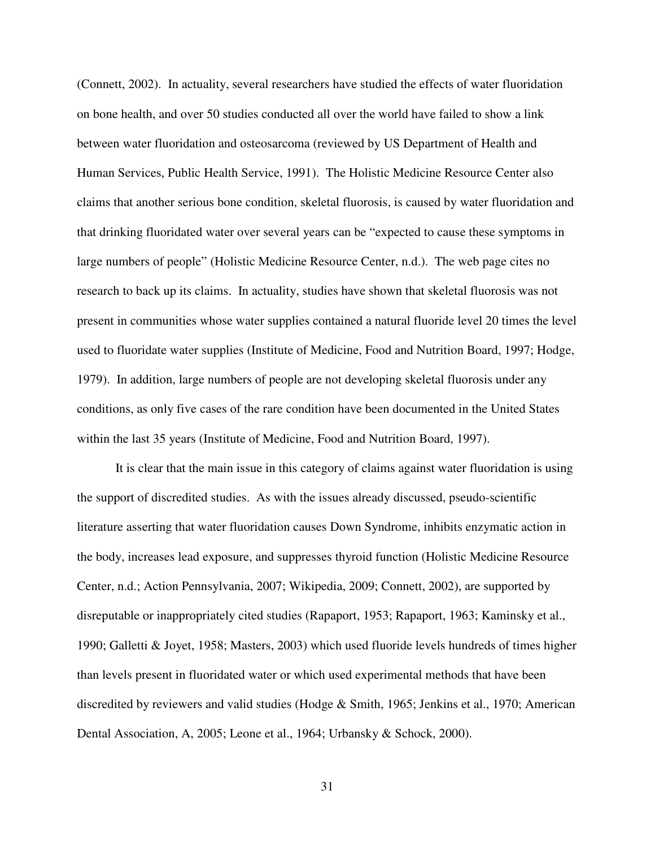(Connett, 2002). In actuality, several researchers have studied the effects of water fluoridation on bone health, and over 50 studies conducted all over the world have failed to show a link between water fluoridation and osteosarcoma (reviewed by US Department of Health and Human Services, Public Health Service, 1991). The Holistic Medicine Resource Center also claims that another serious bone condition, skeletal fluorosis, is caused by water fluoridation and that drinking fluoridated water over several years can be "expected to cause these symptoms in large numbers of people" (Holistic Medicine Resource Center, n.d.). The web page cites no research to back up its claims. In actuality, studies have shown that skeletal fluorosis was not present in communities whose water supplies contained a natural fluoride level 20 times the level used to fluoridate water supplies (Institute of Medicine, Food and Nutrition Board, 1997; Hodge, 1979). In addition, large numbers of people are not developing skeletal fluorosis under any conditions, as only five cases of the rare condition have been documented in the United States within the last 35 years (Institute of Medicine, Food and Nutrition Board, 1997).

 It is clear that the main issue in this category of claims against water fluoridation is using the support of discredited studies. As with the issues already discussed, pseudo-scientific literature asserting that water fluoridation causes Down Syndrome, inhibits enzymatic action in the body, increases lead exposure, and suppresses thyroid function (Holistic Medicine Resource Center, n.d.; Action Pennsylvania, 2007; Wikipedia, 2009; Connett, 2002), are supported by disreputable or inappropriately cited studies (Rapaport, 1953; Rapaport, 1963; Kaminsky et al., 1990; Galletti & Joyet, 1958; Masters, 2003) which used fluoride levels hundreds of times higher than levels present in fluoridated water or which used experimental methods that have been discredited by reviewers and valid studies (Hodge & Smith, 1965; Jenkins et al., 1970; American Dental Association, A, 2005; Leone et al., 1964; Urbansky & Schock, 2000).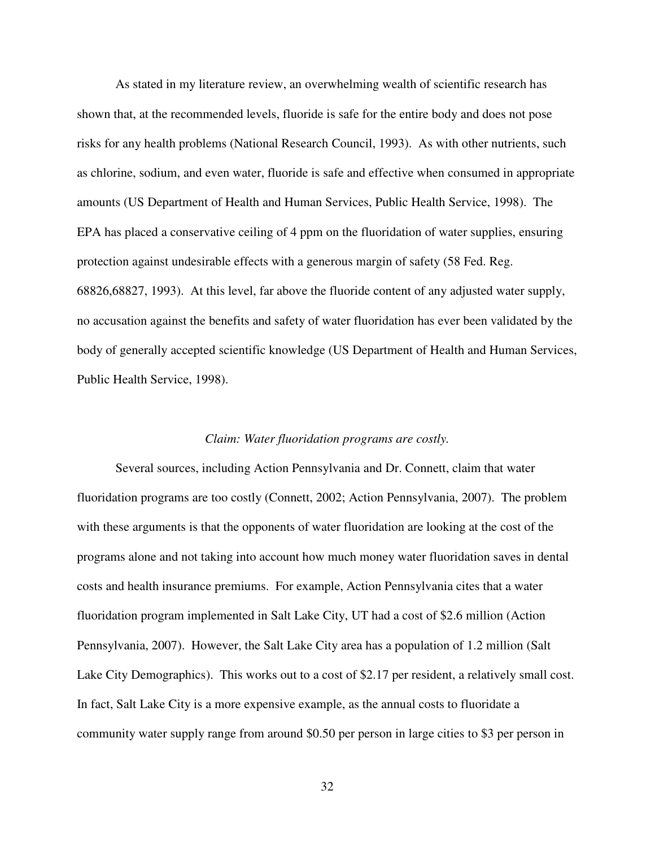As stated in my literature review, an overwhelming wealth of scientific research has shown that, at the recommended levels, fluoride is safe for the entire body and does not pose risks for any health problems (National Research Council, 1993). As with other nutrients, such as chlorine, sodium, and even water, fluoride is safe and effective when consumed in appropriate amounts (US Department of Health and Human Services, Public Health Service, 1998). The EPA has placed a conservative ceiling of 4 ppm on the fluoridation of water supplies, ensuring protection against undesirable effects with a generous margin of safety (58 Fed. Reg. 68826,68827, 1993). At this level, far above the fluoride content of any adjusted water supply, no accusation against the benefits and safety of water fluoridation has ever been validated by the body of generally accepted scientific knowledge (US Department of Health and Human Services, Public Health Service, 1998).

#### *Claim: Water fluoridation programs are costly.*

 Several sources, including Action Pennsylvania and Dr. Connett, claim that water fluoridation programs are too costly (Connett, 2002; Action Pennsylvania, 2007). The problem with these arguments is that the opponents of water fluoridation are looking at the cost of the programs alone and not taking into account how much money water fluoridation saves in dental costs and health insurance premiums. For example, Action Pennsylvania cites that a water fluoridation program implemented in Salt Lake City, UT had a cost of \$2.6 million (Action Pennsylvania, 2007). However, the Salt Lake City area has a population of 1.2 million (Salt Lake City Demographics). This works out to a cost of \$2.17 per resident, a relatively small cost. In fact, Salt Lake City is a more expensive example, as the annual costs to fluoridate a community water supply range from around \$0.50 per person in large cities to \$3 per person in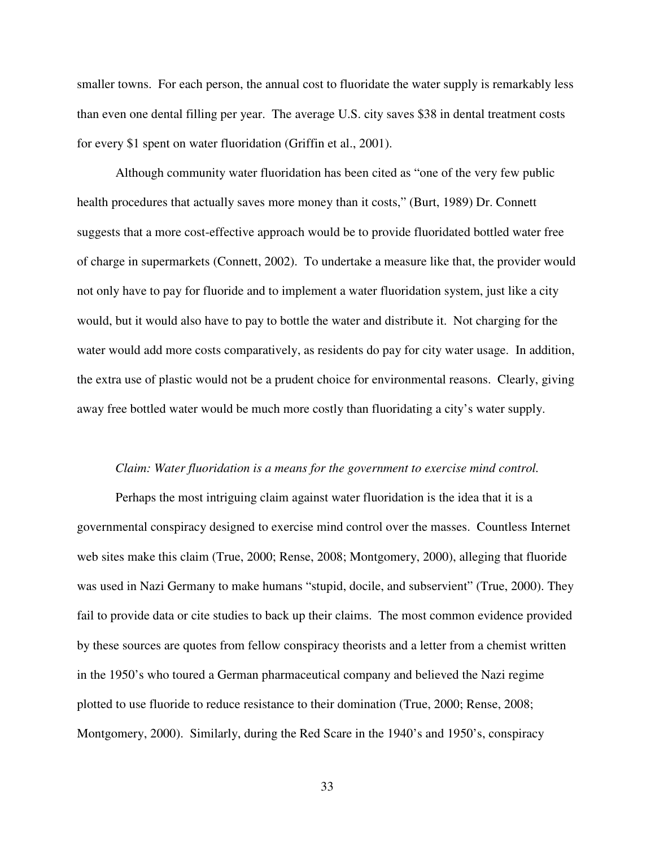smaller towns. For each person, the annual cost to fluoridate the water supply is remarkably less than even one dental filling per year. The average U.S. city saves \$38 in dental treatment costs for every \$1 spent on water fluoridation (Griffin et al., 2001).

 Although community water fluoridation has been cited as "one of the very few public health procedures that actually saves more money than it costs," (Burt, 1989) Dr. Connett suggests that a more cost-effective approach would be to provide fluoridated bottled water free of charge in supermarkets (Connett, 2002). To undertake a measure like that, the provider would not only have to pay for fluoride and to implement a water fluoridation system, just like a city would, but it would also have to pay to bottle the water and distribute it. Not charging for the water would add more costs comparatively, as residents do pay for city water usage. In addition, the extra use of plastic would not be a prudent choice for environmental reasons. Clearly, giving away free bottled water would be much more costly than fluoridating a city's water supply.

#### *Claim: Water fluoridation is a means for the government to exercise mind control.*

 Perhaps the most intriguing claim against water fluoridation is the idea that it is a governmental conspiracy designed to exercise mind control over the masses. Countless Internet web sites make this claim (True, 2000; Rense, 2008; Montgomery, 2000), alleging that fluoride was used in Nazi Germany to make humans "stupid, docile, and subservient" (True, 2000). They fail to provide data or cite studies to back up their claims. The most common evidence provided by these sources are quotes from fellow conspiracy theorists and a letter from a chemist written in the 1950's who toured a German pharmaceutical company and believed the Nazi regime plotted to use fluoride to reduce resistance to their domination (True, 2000; Rense, 2008; Montgomery, 2000). Similarly, during the Red Scare in the 1940's and 1950's, conspiracy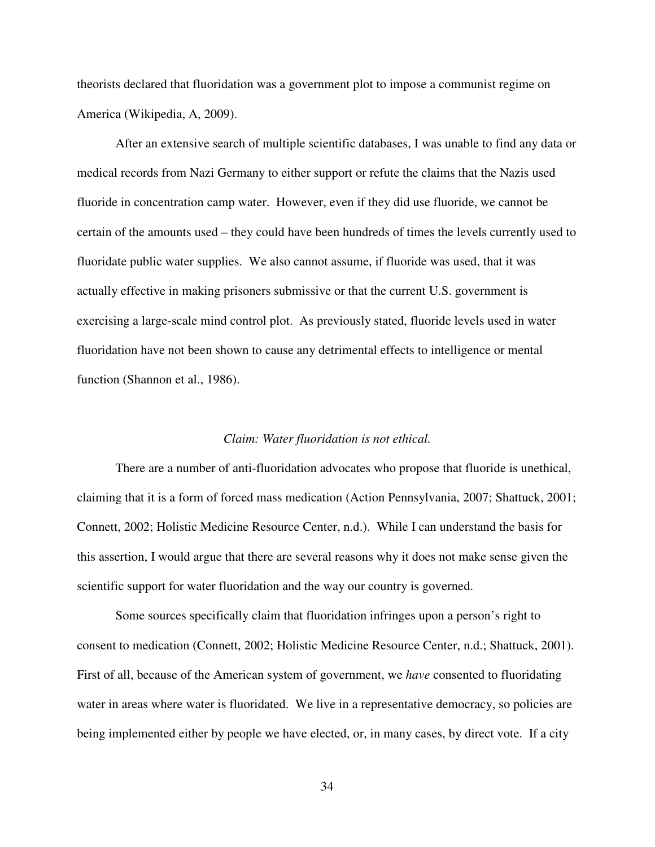theorists declared that fluoridation was a government plot to impose a communist regime on America (Wikipedia, A, 2009).

 After an extensive search of multiple scientific databases, I was unable to find any data or medical records from Nazi Germany to either support or refute the claims that the Nazis used fluoride in concentration camp water. However, even if they did use fluoride, we cannot be certain of the amounts used – they could have been hundreds of times the levels currently used to fluoridate public water supplies. We also cannot assume, if fluoride was used, that it was actually effective in making prisoners submissive or that the current U.S. government is exercising a large-scale mind control plot. As previously stated, fluoride levels used in water fluoridation have not been shown to cause any detrimental effects to intelligence or mental function (Shannon et al., 1986).

#### *Claim: Water fluoridation is not ethical.*

 There are a number of anti-fluoridation advocates who propose that fluoride is unethical, claiming that it is a form of forced mass medication (Action Pennsylvania, 2007; Shattuck, 2001; Connett, 2002; Holistic Medicine Resource Center, n.d.). While I can understand the basis for this assertion, I would argue that there are several reasons why it does not make sense given the scientific support for water fluoridation and the way our country is governed.

 Some sources specifically claim that fluoridation infringes upon a person's right to consent to medication (Connett, 2002; Holistic Medicine Resource Center, n.d.; Shattuck, 2001). First of all, because of the American system of government, we *have* consented to fluoridating water in areas where water is fluoridated. We live in a representative democracy, so policies are being implemented either by people we have elected, or, in many cases, by direct vote. If a city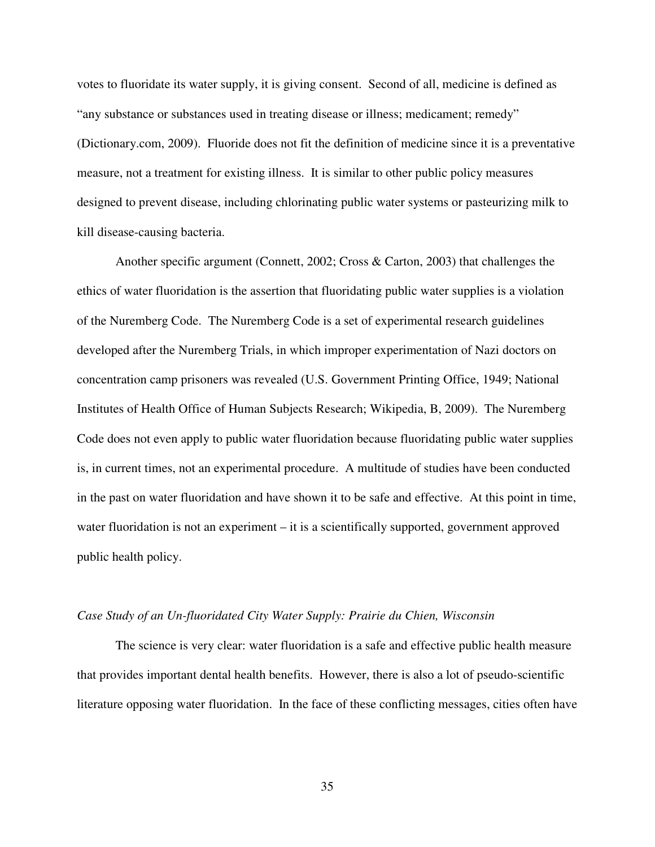votes to fluoridate its water supply, it is giving consent. Second of all, medicine is defined as "any substance or substances used in treating disease or illness; medicament; remedy" (Dictionary.com, 2009). Fluoride does not fit the definition of medicine since it is a preventative measure, not a treatment for existing illness. It is similar to other public policy measures designed to prevent disease, including chlorinating public water systems or pasteurizing milk to kill disease-causing bacteria.

 Another specific argument (Connett, 2002; Cross & Carton, 2003) that challenges the ethics of water fluoridation is the assertion that fluoridating public water supplies is a violation of the Nuremberg Code. The Nuremberg Code is a set of experimental research guidelines developed after the Nuremberg Trials, in which improper experimentation of Nazi doctors on concentration camp prisoners was revealed (U.S. Government Printing Office, 1949; National Institutes of Health Office of Human Subjects Research; Wikipedia, B, 2009). The Nuremberg Code does not even apply to public water fluoridation because fluoridating public water supplies is, in current times, not an experimental procedure. A multitude of studies have been conducted in the past on water fluoridation and have shown it to be safe and effective. At this point in time, water fluoridation is not an experiment – it is a scientifically supported, government approved public health policy.

#### *Case Study of an Un-fluoridated City Water Supply: Prairie du Chien, Wisconsin*

 The science is very clear: water fluoridation is a safe and effective public health measure that provides important dental health benefits. However, there is also a lot of pseudo-scientific literature opposing water fluoridation. In the face of these conflicting messages, cities often have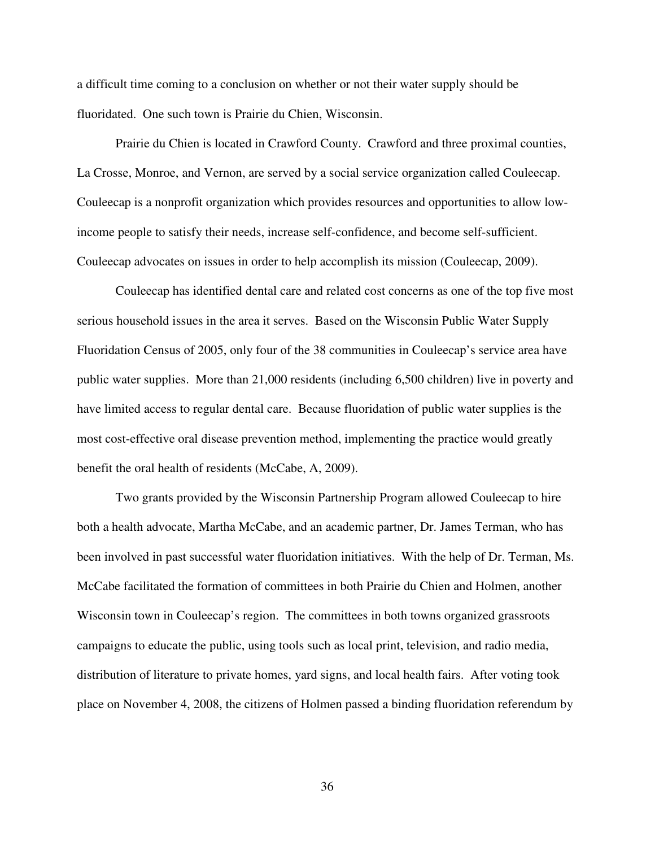a difficult time coming to a conclusion on whether or not their water supply should be fluoridated. One such town is Prairie du Chien, Wisconsin.

 Prairie du Chien is located in Crawford County. Crawford and three proximal counties, La Crosse, Monroe, and Vernon, are served by a social service organization called Couleecap. Couleecap is a nonprofit organization which provides resources and opportunities to allow lowincome people to satisfy their needs, increase self-confidence, and become self-sufficient. Couleecap advocates on issues in order to help accomplish its mission (Couleecap, 2009).

 Couleecap has identified dental care and related cost concerns as one of the top five most serious household issues in the area it serves. Based on the Wisconsin Public Water Supply Fluoridation Census of 2005, only four of the 38 communities in Couleecap's service area have public water supplies. More than 21,000 residents (including 6,500 children) live in poverty and have limited access to regular dental care. Because fluoridation of public water supplies is the most cost-effective oral disease prevention method, implementing the practice would greatly benefit the oral health of residents (McCabe, A, 2009).

 Two grants provided by the Wisconsin Partnership Program allowed Couleecap to hire both a health advocate, Martha McCabe, and an academic partner, Dr. James Terman, who has been involved in past successful water fluoridation initiatives. With the help of Dr. Terman, Ms. McCabe facilitated the formation of committees in both Prairie du Chien and Holmen, another Wisconsin town in Couleecap's region. The committees in both towns organized grassroots campaigns to educate the public, using tools such as local print, television, and radio media, distribution of literature to private homes, yard signs, and local health fairs. After voting took place on November 4, 2008, the citizens of Holmen passed a binding fluoridation referendum by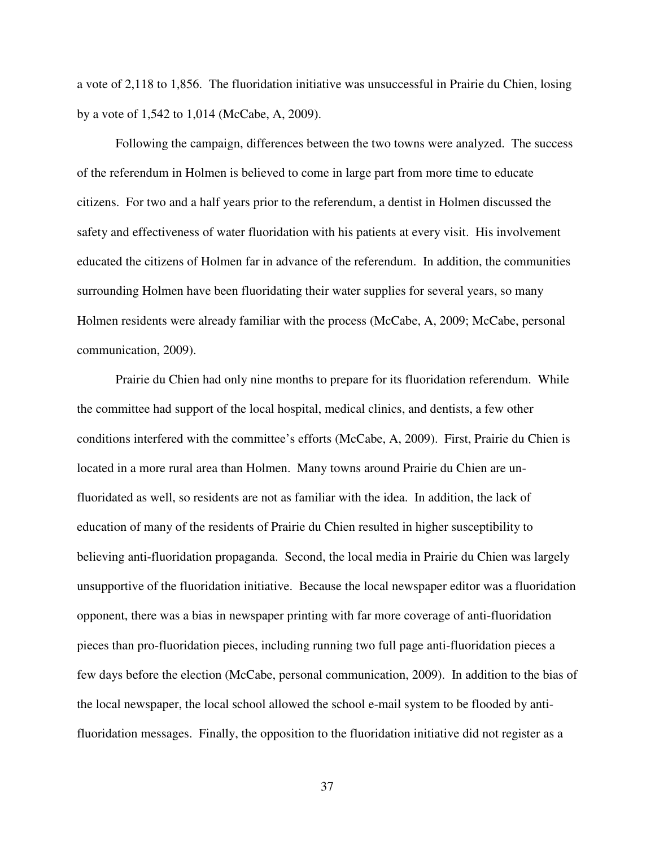a vote of 2,118 to 1,856. The fluoridation initiative was unsuccessful in Prairie du Chien, losing by a vote of 1,542 to 1,014 (McCabe, A, 2009).

 Following the campaign, differences between the two towns were analyzed. The success of the referendum in Holmen is believed to come in large part from more time to educate citizens. For two and a half years prior to the referendum, a dentist in Holmen discussed the safety and effectiveness of water fluoridation with his patients at every visit. His involvement educated the citizens of Holmen far in advance of the referendum. In addition, the communities surrounding Holmen have been fluoridating their water supplies for several years, so many Holmen residents were already familiar with the process (McCabe, A, 2009; McCabe, personal communication, 2009).

 Prairie du Chien had only nine months to prepare for its fluoridation referendum. While the committee had support of the local hospital, medical clinics, and dentists, a few other conditions interfered with the committee's efforts (McCabe, A, 2009). First, Prairie du Chien is located in a more rural area than Holmen. Many towns around Prairie du Chien are unfluoridated as well, so residents are not as familiar with the idea. In addition, the lack of education of many of the residents of Prairie du Chien resulted in higher susceptibility to believing anti-fluoridation propaganda. Second, the local media in Prairie du Chien was largely unsupportive of the fluoridation initiative. Because the local newspaper editor was a fluoridation opponent, there was a bias in newspaper printing with far more coverage of anti-fluoridation pieces than pro-fluoridation pieces, including running two full page anti-fluoridation pieces a few days before the election (McCabe, personal communication, 2009). In addition to the bias of the local newspaper, the local school allowed the school e-mail system to be flooded by antifluoridation messages. Finally, the opposition to the fluoridation initiative did not register as a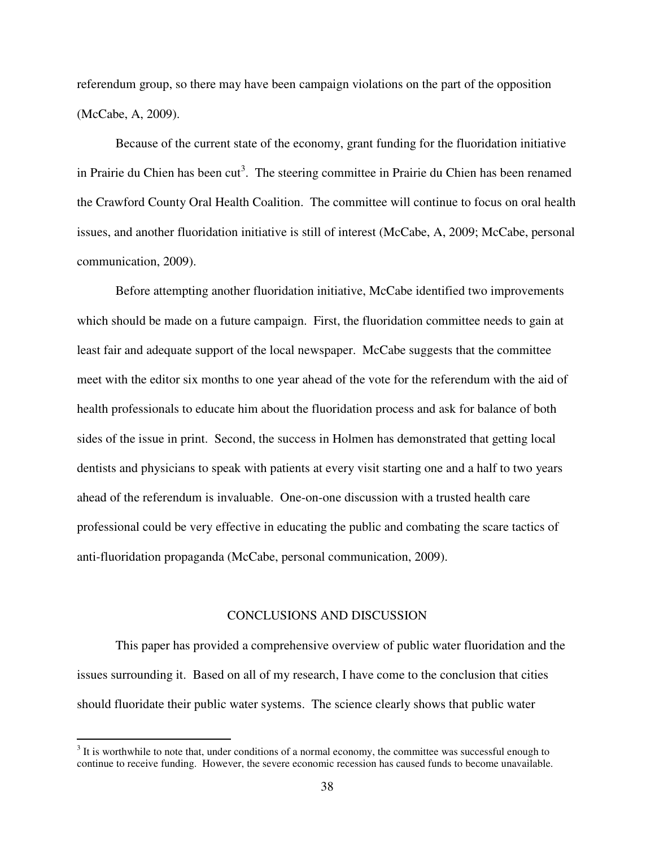referendum group, so there may have been campaign violations on the part of the opposition (McCabe, A, 2009).

 Because of the current state of the economy, grant funding for the fluoridation initiative in Prairie du Chien has been cut<sup>3</sup>. The steering committee in Prairie du Chien has been renamed the Crawford County Oral Health Coalition. The committee will continue to focus on oral health issues, and another fluoridation initiative is still of interest (McCabe, A, 2009; McCabe, personal communication, 2009).

Before attempting another fluoridation initiative, McCabe identified two improvements which should be made on a future campaign. First, the fluoridation committee needs to gain at least fair and adequate support of the local newspaper. McCabe suggests that the committee meet with the editor six months to one year ahead of the vote for the referendum with the aid of health professionals to educate him about the fluoridation process and ask for balance of both sides of the issue in print. Second, the success in Holmen has demonstrated that getting local dentists and physicians to speak with patients at every visit starting one and a half to two years ahead of the referendum is invaluable. One-on-one discussion with a trusted health care professional could be very effective in educating the public and combating the scare tactics of anti-fluoridation propaganda (McCabe, personal communication, 2009).

## CONCLUSIONS AND DISCUSSION

 This paper has provided a comprehensive overview of public water fluoridation and the issues surrounding it. Based on all of my research, I have come to the conclusion that cities should fluoridate their public water systems. The science clearly shows that public water

<sup>&</sup>lt;sup>3</sup> It is worthwhile to note that, under conditions of a normal economy, the committee was successful enough to continue to receive funding. However, the severe economic recession has caused funds to become unavailable.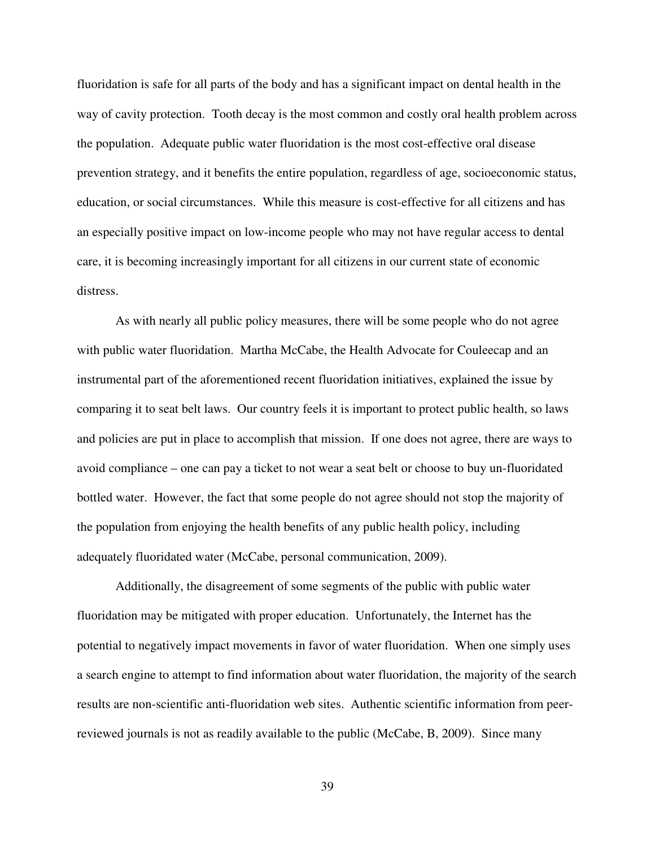fluoridation is safe for all parts of the body and has a significant impact on dental health in the way of cavity protection. Tooth decay is the most common and costly oral health problem across the population. Adequate public water fluoridation is the most cost-effective oral disease prevention strategy, and it benefits the entire population, regardless of age, socioeconomic status, education, or social circumstances. While this measure is cost-effective for all citizens and has an especially positive impact on low-income people who may not have regular access to dental care, it is becoming increasingly important for all citizens in our current state of economic distress.

 As with nearly all public policy measures, there will be some people who do not agree with public water fluoridation. Martha McCabe, the Health Advocate for Couleecap and an instrumental part of the aforementioned recent fluoridation initiatives, explained the issue by comparing it to seat belt laws. Our country feels it is important to protect public health, so laws and policies are put in place to accomplish that mission. If one does not agree, there are ways to avoid compliance – one can pay a ticket to not wear a seat belt or choose to buy un-fluoridated bottled water. However, the fact that some people do not agree should not stop the majority of the population from enjoying the health benefits of any public health policy, including adequately fluoridated water (McCabe, personal communication, 2009).

 Additionally, the disagreement of some segments of the public with public water fluoridation may be mitigated with proper education. Unfortunately, the Internet has the potential to negatively impact movements in favor of water fluoridation. When one simply uses a search engine to attempt to find information about water fluoridation, the majority of the search results are non-scientific anti-fluoridation web sites. Authentic scientific information from peerreviewed journals is not as readily available to the public (McCabe, B, 2009). Since many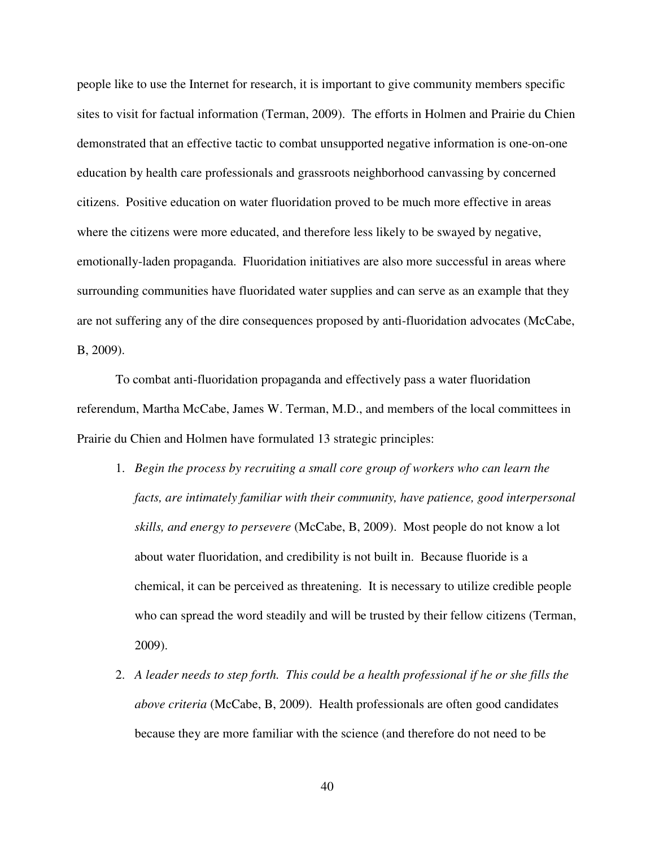people like to use the Internet for research, it is important to give community members specific sites to visit for factual information (Terman, 2009). The efforts in Holmen and Prairie du Chien demonstrated that an effective tactic to combat unsupported negative information is one-on-one education by health care professionals and grassroots neighborhood canvassing by concerned citizens. Positive education on water fluoridation proved to be much more effective in areas where the citizens were more educated, and therefore less likely to be swayed by negative, emotionally-laden propaganda. Fluoridation initiatives are also more successful in areas where surrounding communities have fluoridated water supplies and can serve as an example that they are not suffering any of the dire consequences proposed by anti-fluoridation advocates (McCabe, B, 2009).

 To combat anti-fluoridation propaganda and effectively pass a water fluoridation referendum, Martha McCabe, James W. Terman, M.D., and members of the local committees in Prairie du Chien and Holmen have formulated 13 strategic principles:

- 1. *Begin the process by recruiting a small core group of workers who can learn the facts, are intimately familiar with their community, have patience, good interpersonal skills, and energy to persevere* (McCabe, B, 2009). Most people do not know a lot about water fluoridation, and credibility is not built in. Because fluoride is a chemical, it can be perceived as threatening. It is necessary to utilize credible people who can spread the word steadily and will be trusted by their fellow citizens (Terman, 2009).
- 2. *A leader needs to step forth. This could be a health professional if he or she fills the above criteria* (McCabe, B, 2009). Health professionals are often good candidates because they are more familiar with the science (and therefore do not need to be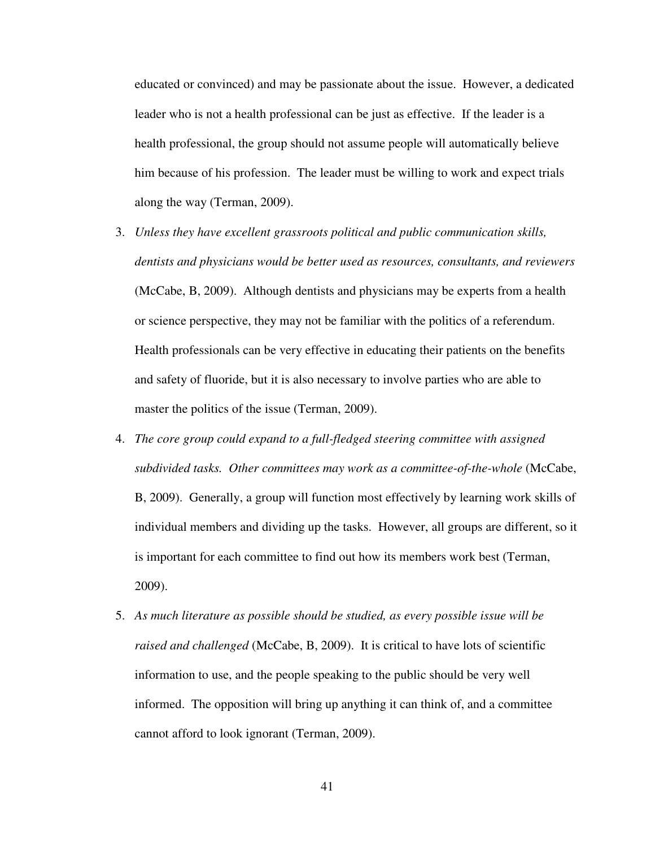educated or convinced) and may be passionate about the issue. However, a dedicated leader who is not a health professional can be just as effective. If the leader is a health professional, the group should not assume people will automatically believe him because of his profession. The leader must be willing to work and expect trials along the way (Terman, 2009).

- 3. *Unless they have excellent grassroots political and public communication skills, dentists and physicians would be better used as resources, consultants, and reviewers* (McCabe, B, 2009). Although dentists and physicians may be experts from a health or science perspective, they may not be familiar with the politics of a referendum. Health professionals can be very effective in educating their patients on the benefits and safety of fluoride, but it is also necessary to involve parties who are able to master the politics of the issue (Terman, 2009).
- 4. *The core group could expand to a full-fledged steering committee with assigned subdivided tasks. Other committees may work as a committee-of-the-whole* (McCabe, B, 2009). Generally, a group will function most effectively by learning work skills of individual members and dividing up the tasks. However, all groups are different, so it is important for each committee to find out how its members work best (Terman, 2009).
- 5. *As much literature as possible should be studied, as every possible issue will be raised and challenged* (McCabe, B, 2009). It is critical to have lots of scientific information to use, and the people speaking to the public should be very well informed. The opposition will bring up anything it can think of, and a committee cannot afford to look ignorant (Terman, 2009).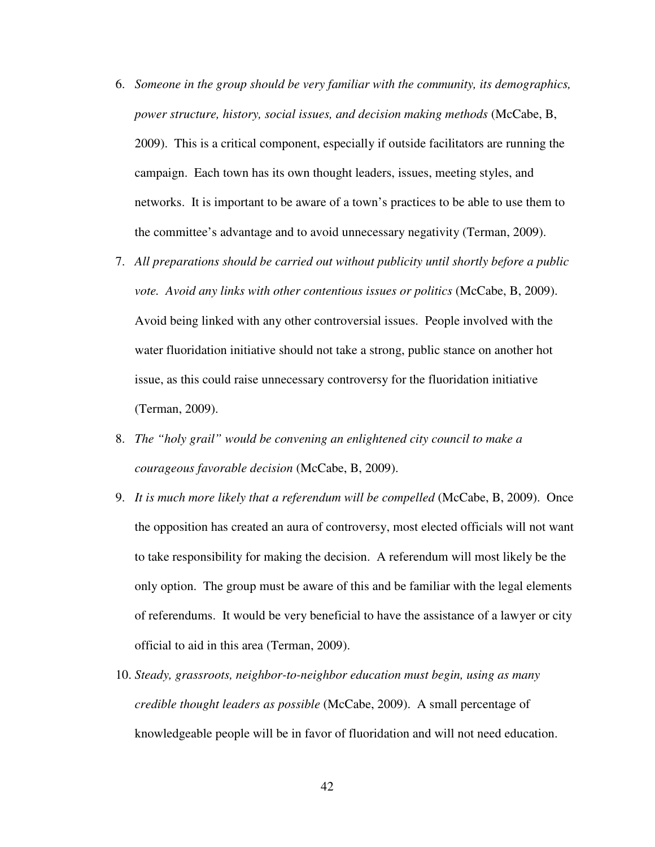- 6. *Someone in the group should be very familiar with the community, its demographics, power structure, history, social issues, and decision making methods* (McCabe, B, 2009). This is a critical component, especially if outside facilitators are running the campaign. Each town has its own thought leaders, issues, meeting styles, and networks. It is important to be aware of a town's practices to be able to use them to the committee's advantage and to avoid unnecessary negativity (Terman, 2009).
- 7. *All preparations should be carried out without publicity until shortly before a public vote. Avoid any links with other contentious issues or politics* (McCabe, B, 2009). Avoid being linked with any other controversial issues. People involved with the water fluoridation initiative should not take a strong, public stance on another hot issue, as this could raise unnecessary controversy for the fluoridation initiative (Terman, 2009).
- 8. *The "holy grail" would be convening an enlightened city council to make a courageous favorable decision* (McCabe, B, 2009).
- 9. *It is much more likely that a referendum will be compelled* (McCabe, B, 2009). Once the opposition has created an aura of controversy, most elected officials will not want to take responsibility for making the decision. A referendum will most likely be the only option. The group must be aware of this and be familiar with the legal elements of referendums. It would be very beneficial to have the assistance of a lawyer or city official to aid in this area (Terman, 2009).
- 10. *Steady, grassroots, neighbor-to-neighbor education must begin, using as many credible thought leaders as possible* (McCabe, 2009). A small percentage of knowledgeable people will be in favor of fluoridation and will not need education.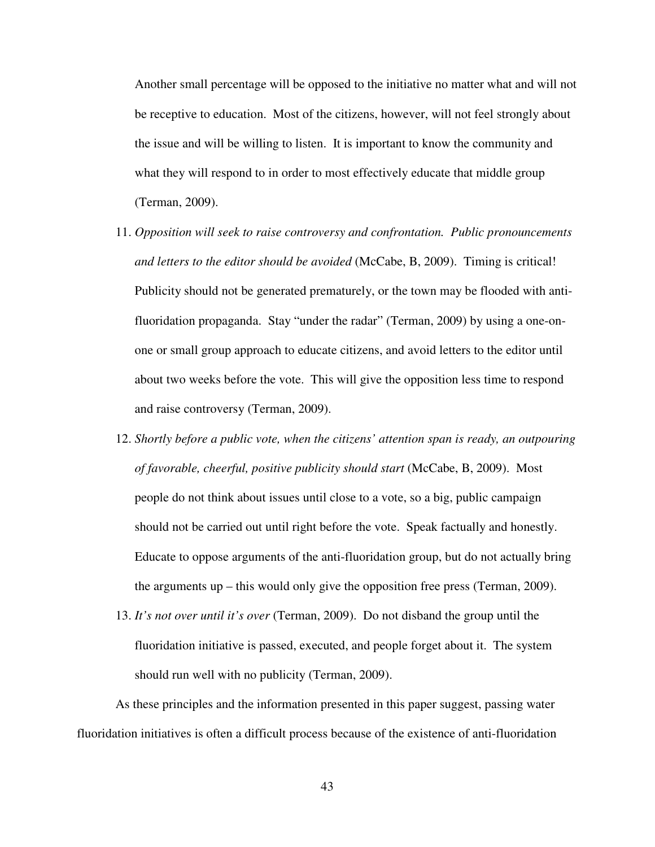Another small percentage will be opposed to the initiative no matter what and will not be receptive to education. Most of the citizens, however, will not feel strongly about the issue and will be willing to listen. It is important to know the community and what they will respond to in order to most effectively educate that middle group (Terman, 2009).

- 11. *Opposition will seek to raise controversy and confrontation. Public pronouncements and letters to the editor should be avoided* (McCabe, B, 2009). Timing is critical! Publicity should not be generated prematurely, or the town may be flooded with antifluoridation propaganda. Stay "under the radar" (Terman, 2009) by using a one-onone or small group approach to educate citizens, and avoid letters to the editor until about two weeks before the vote. This will give the opposition less time to respond and raise controversy (Terman, 2009).
- 12. *Shortly before a public vote, when the citizens' attention span is ready, an outpouring of favorable, cheerful, positive publicity should start* (McCabe, B, 2009). Most people do not think about issues until close to a vote, so a big, public campaign should not be carried out until right before the vote. Speak factually and honestly. Educate to oppose arguments of the anti-fluoridation group, but do not actually bring the arguments up – this would only give the opposition free press (Terman, 2009).
- 13. *It's not over until it's over* (Terman, 2009). Do not disband the group until the fluoridation initiative is passed, executed, and people forget about it. The system should run well with no publicity (Terman, 2009).

As these principles and the information presented in this paper suggest, passing water fluoridation initiatives is often a difficult process because of the existence of anti-fluoridation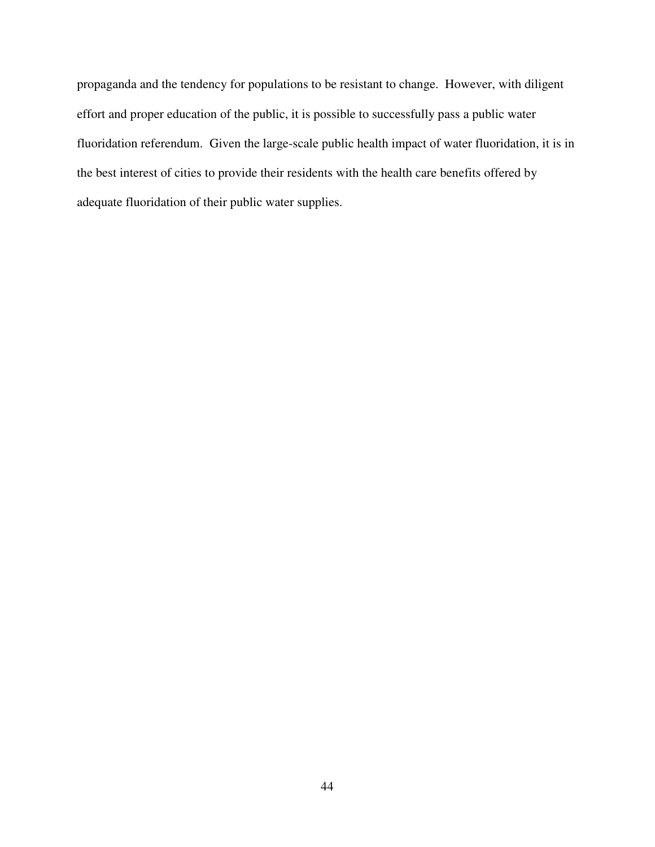propaganda and the tendency for populations to be resistant to change. However, with diligent effort and proper education of the public, it is possible to successfully pass a public water fluoridation referendum. Given the large-scale public health impact of water fluoridation, it is in the best interest of cities to provide their residents with the health care benefits offered by adequate fluoridation of their public water supplies.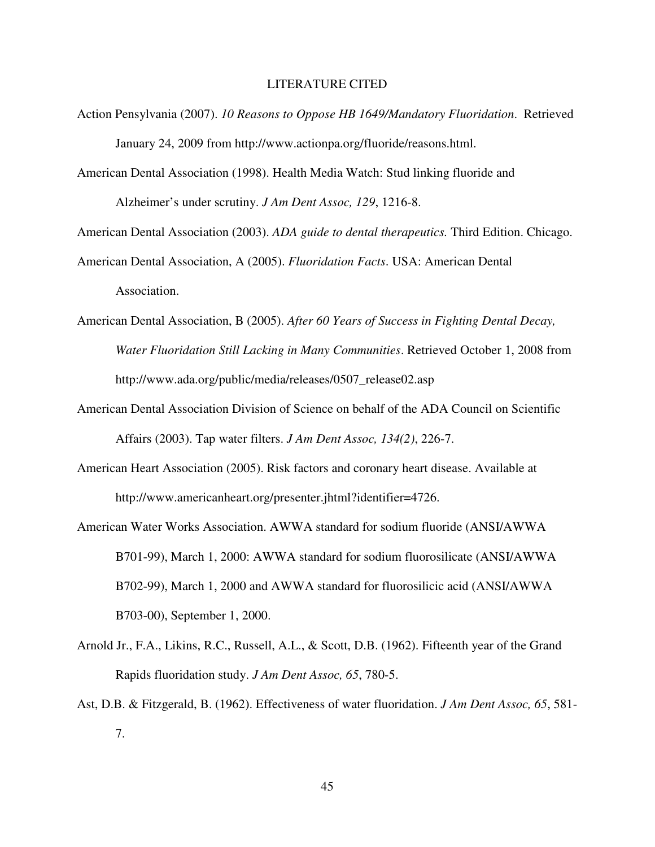#### LITERATURE CITED

- Action Pensylvania (2007). *10 Reasons to Oppose HB 1649/Mandatory Fluoridation*. Retrieved January 24, 2009 from http://www.actionpa.org/fluoride/reasons.html.
- American Dental Association (1998). Health Media Watch: Stud linking fluoride and Alzheimer's under scrutiny. *J Am Dent Assoc, 129*, 1216-8.

American Dental Association (2003). *ADA guide to dental therapeutics.* Third Edition. Chicago.

American Dental Association, A (2005). *Fluoridation Facts*. USA: American Dental Association.

- American Dental Association, B (2005). *After 60 Years of Success in Fighting Dental Decay, Water Fluoridation Still Lacking in Many Communities*. Retrieved October 1, 2008 from http://www.ada.org/public/media/releases/0507\_release02.asp
- American Dental Association Division of Science on behalf of the ADA Council on Scientific Affairs (2003). Tap water filters. *J Am Dent Assoc, 134(2)*, 226-7.
- American Heart Association (2005). Risk factors and coronary heart disease. Available at http://www.americanheart.org/presenter.jhtml?identifier=4726.
- American Water Works Association. AWWA standard for sodium fluoride (ANSI/AWWA B701-99), March 1, 2000: AWWA standard for sodium fluorosilicate (ANSI/AWWA B702-99), March 1, 2000 and AWWA standard for fluorosilicic acid (ANSI/AWWA B703-00), September 1, 2000.
- Arnold Jr., F.A., Likins, R.C., Russell, A.L., & Scott, D.B. (1962). Fifteenth year of the Grand Rapids fluoridation study. *J Am Dent Assoc, 65*, 780-5.
- Ast, D.B. & Fitzgerald, B. (1962). Effectiveness of water fluoridation. *J Am Dent Assoc, 65*, 581- 7.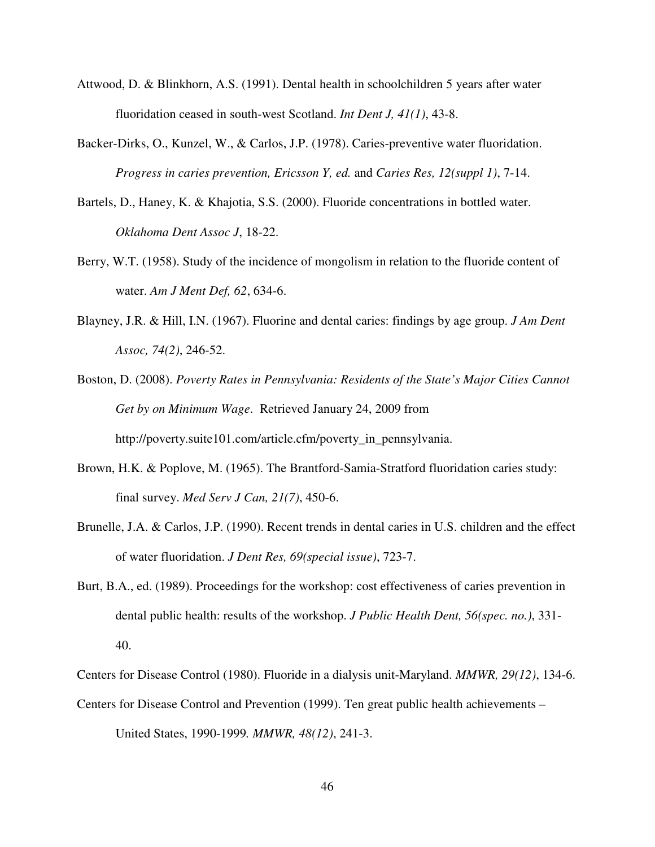- Attwood, D. & Blinkhorn, A.S. (1991). Dental health in schoolchildren 5 years after water fluoridation ceased in south-west Scotland. *Int Dent J, 41(1)*, 43-8.
- Backer-Dirks, O., Kunzel, W., & Carlos, J.P. (1978). Caries-preventive water fluoridation. *Progress in caries prevention, Ericsson Y, ed.* and *Caries Res, 12(suppl 1)*, 7-14.
- Bartels, D., Haney, K. & Khajotia, S.S. (2000). Fluoride concentrations in bottled water. *Oklahoma Dent Assoc J*, 18-22.
- Berry, W.T. (1958). Study of the incidence of mongolism in relation to the fluoride content of water. *Am J Ment Def, 62*, 634-6.
- Blayney, J.R. & Hill, I.N. (1967). Fluorine and dental caries: findings by age group. *J Am Dent Assoc, 74(2)*, 246-52.
- Boston, D. (2008). *Poverty Rates in Pennsylvania: Residents of the State's Major Cities Cannot Get by on Minimum Wage*. Retrieved January 24, 2009 from http://poverty.suite101.com/article.cfm/poverty\_in\_pennsylvania.
- Brown, H.K. & Poplove, M. (1965). The Brantford-Samia-Stratford fluoridation caries study: final survey. *Med Serv J Can, 21(7)*, 450-6.
- Brunelle, J.A. & Carlos, J.P. (1990). Recent trends in dental caries in U.S. children and the effect of water fluoridation. *J Dent Res, 69(special issue)*, 723-7.
- Burt, B.A., ed. (1989). Proceedings for the workshop: cost effectiveness of caries prevention in dental public health: results of the workshop. *J Public Health Dent, 56(spec. no.)*, 331- 40.
- Centers for Disease Control (1980). Fluoride in a dialysis unit-Maryland. *MMWR, 29(12)*, 134-6.
- Centers for Disease Control and Prevention (1999). Ten great public health achievements –

United States, 1990-1999*. MMWR, 48(12)*, 241-3.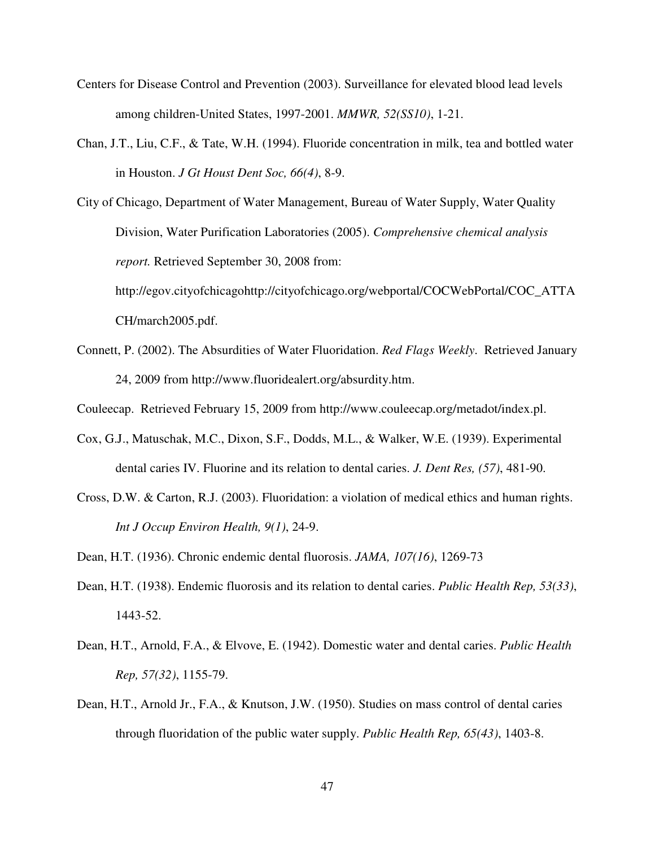- Centers for Disease Control and Prevention (2003). Surveillance for elevated blood lead levels among children-United States, 1997-2001. *MMWR, 52(SS10)*, 1-21.
- Chan, J.T., Liu, C.F., & Tate, W.H. (1994). Fluoride concentration in milk, tea and bottled water in Houston. *J Gt Houst Dent Soc, 66(4)*, 8-9.

City of Chicago, Department of Water Management, Bureau of Water Supply, Water Quality Division, Water Purification Laboratories (2005). *Comprehensive chemical analysis report.* Retrieved September 30, 2008 from: http://egov.cityofchicagohttp://cityofchicago.org/webportal/COCWebPortal/COC\_ATTA CH/march2005.pdf.

Connett, P. (2002). The Absurdities of Water Fluoridation. *Red Flags Weekly*. Retrieved January 24, 2009 from http://www.fluoridealert.org/absurdity.htm.

Couleecap. Retrieved February 15, 2009 from http://www.couleecap.org/metadot/index.pl.

- Cox, G.J., Matuschak, M.C., Dixon, S.F., Dodds, M.L., & Walker, W.E. (1939). Experimental dental caries IV. Fluorine and its relation to dental caries. *J. Dent Res, (57)*, 481-90.
- Cross, D.W. & Carton, R.J. (2003). Fluoridation: a violation of medical ethics and human rights. *Int J Occup Environ Health, 9(1)*, 24-9.
- Dean, H.T. (1936). Chronic endemic dental fluorosis. *JAMA, 107(16)*, 1269-73
- Dean, H.T. (1938). Endemic fluorosis and its relation to dental caries. *Public Health Rep, 53(33)*, 1443-52.
- Dean, H.T., Arnold, F.A., & Elvove, E. (1942). Domestic water and dental caries. *Public Health Rep, 57(32)*, 1155-79.
- Dean, H.T., Arnold Jr., F.A., & Knutson, J.W. (1950). Studies on mass control of dental caries through fluoridation of the public water supply. *Public Health Rep, 65(43)*, 1403-8.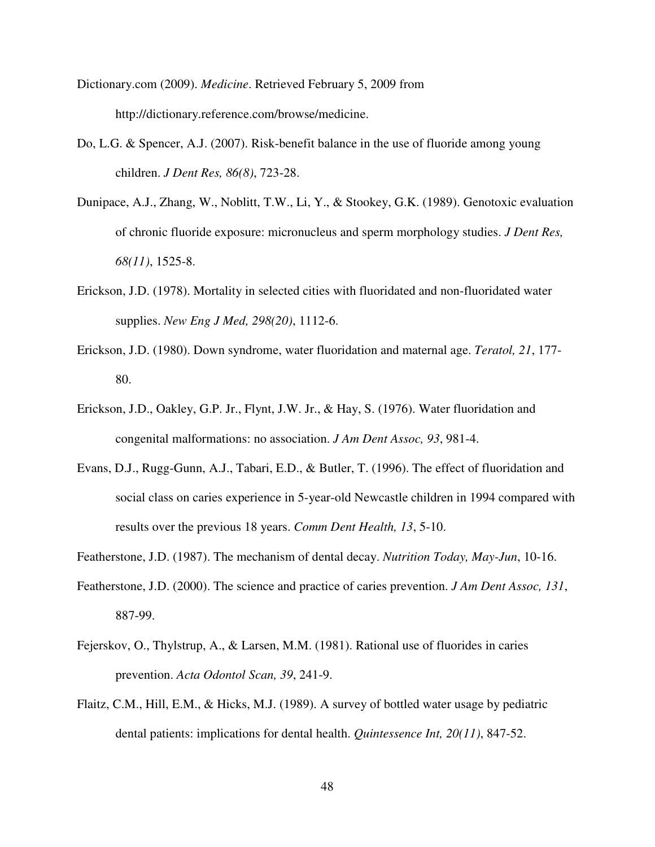Dictionary.com (2009). *Medicine*. Retrieved February 5, 2009 from http://dictionary.reference.com/browse/medicine.

- Do, L.G. & Spencer, A.J. (2007). Risk-benefit balance in the use of fluoride among young children. *J Dent Res, 86(8)*, 723-28.
- Dunipace, A.J., Zhang, W., Noblitt, T.W., Li, Y., & Stookey, G.K. (1989). Genotoxic evaluation of chronic fluoride exposure: micronucleus and sperm morphology studies. *J Dent Res, 68(11)*, 1525-8.
- Erickson, J.D. (1978). Mortality in selected cities with fluoridated and non-fluoridated water supplies. *New Eng J Med, 298(20)*, 1112-6.
- Erickson, J.D. (1980). Down syndrome, water fluoridation and maternal age. *Teratol, 21*, 177- 80.
- Erickson, J.D., Oakley, G.P. Jr., Flynt, J.W. Jr., & Hay, S. (1976). Water fluoridation and congenital malformations: no association. *J Am Dent Assoc, 93*, 981-4.
- Evans, D.J., Rugg-Gunn, A.J., Tabari, E.D., & Butler, T. (1996). The effect of fluoridation and social class on caries experience in 5-year-old Newcastle children in 1994 compared with results over the previous 18 years. *Comm Dent Health, 13*, 5-10.
- Featherstone, J.D. (1987). The mechanism of dental decay. *Nutrition Today, May-Jun*, 10-16.
- Featherstone, J.D. (2000). The science and practice of caries prevention. *J Am Dent Assoc, 131*, 887-99.
- Fejerskov, O., Thylstrup, A., & Larsen, M.M. (1981). Rational use of fluorides in caries prevention. *Acta Odontol Scan, 39*, 241-9.
- Flaitz, C.M., Hill, E.M., & Hicks, M.J. (1989). A survey of bottled water usage by pediatric dental patients: implications for dental health. *Quintessence Int, 20(11)*, 847-52.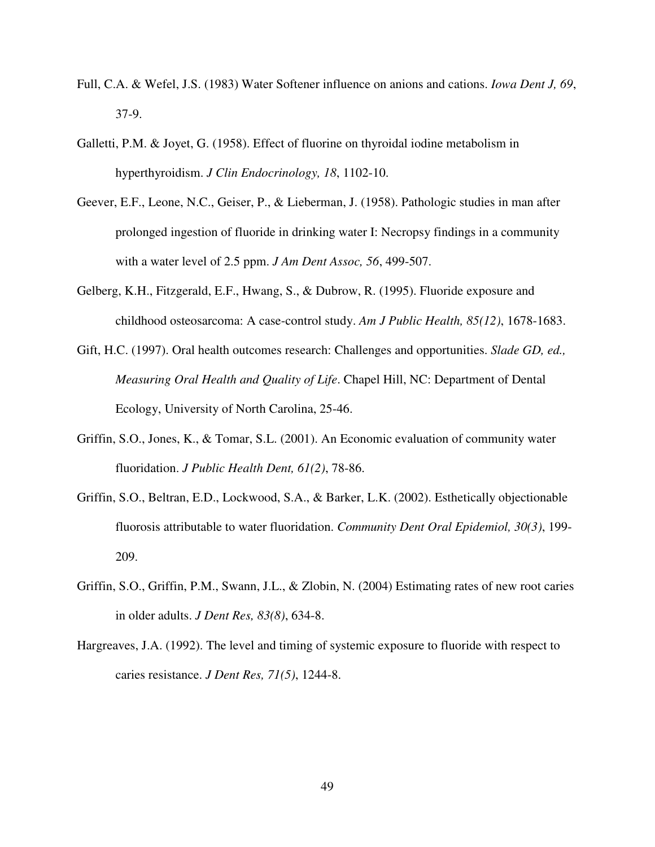- Full, C.A. & Wefel, J.S. (1983) Water Softener influence on anions and cations. *Iowa Dent J, 69*, 37-9.
- Galletti, P.M. & Joyet, G. (1958). Effect of fluorine on thyroidal iodine metabolism in hyperthyroidism. *J Clin Endocrinology, 18*, 1102-10.
- Geever, E.F., Leone, N.C., Geiser, P., & Lieberman, J. (1958). Pathologic studies in man after prolonged ingestion of fluoride in drinking water I: Necropsy findings in a community with a water level of 2.5 ppm. *J Am Dent Assoc, 56*, 499-507.
- Gelberg, K.H., Fitzgerald, E.F., Hwang, S., & Dubrow, R. (1995). Fluoride exposure and childhood osteosarcoma: A case-control study. *Am J Public Health, 85(12)*, 1678-1683.
- Gift, H.C. (1997). Oral health outcomes research: Challenges and opportunities. *Slade GD, ed., Measuring Oral Health and Quality of Life*. Chapel Hill, NC: Department of Dental Ecology, University of North Carolina, 25-46.
- Griffin, S.O., Jones, K., & Tomar, S.L. (2001). An Economic evaluation of community water fluoridation. *J Public Health Dent, 61(2)*, 78-86.
- Griffin, S.O., Beltran, E.D., Lockwood, S.A., & Barker, L.K. (2002). Esthetically objectionable fluorosis attributable to water fluoridation. *Community Dent Oral Epidemiol, 30(3)*, 199- 209.
- Griffin, S.O., Griffin, P.M., Swann, J.L., & Zlobin, N. (2004) Estimating rates of new root caries in older adults. *J Dent Res, 83(8)*, 634-8.
- Hargreaves, J.A. (1992). The level and timing of systemic exposure to fluoride with respect to caries resistance. *J Dent Res, 71(5)*, 1244-8.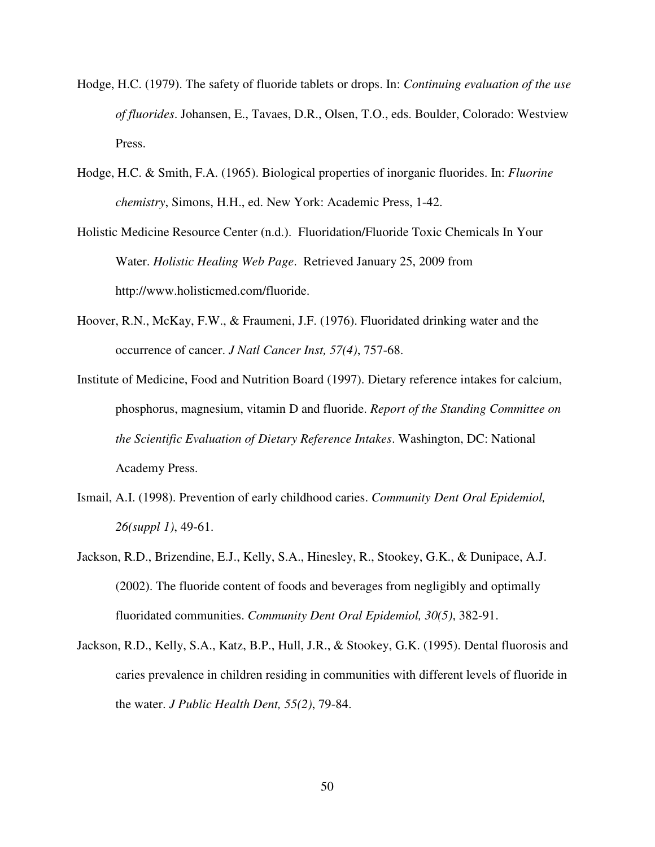- Hodge, H.C. (1979). The safety of fluoride tablets or drops. In: *Continuing evaluation of the use of fluorides*. Johansen, E., Tavaes, D.R., Olsen, T.O., eds. Boulder, Colorado: Westview Press.
- Hodge, H.C. & Smith, F.A. (1965). Biological properties of inorganic fluorides. In: *Fluorine chemistry*, Simons, H.H., ed. New York: Academic Press, 1-42.
- Holistic Medicine Resource Center (n.d.). Fluoridation/Fluoride Toxic Chemicals In Your Water. *Holistic Healing Web Page*. Retrieved January 25, 2009 from http://www.holisticmed.com/fluoride.
- Hoover, R.N., McKay, F.W., & Fraumeni, J.F. (1976). Fluoridated drinking water and the occurrence of cancer. *J Natl Cancer Inst, 57(4)*, 757-68.
- Institute of Medicine, Food and Nutrition Board (1997). Dietary reference intakes for calcium, phosphorus, magnesium, vitamin D and fluoride. *Report of the Standing Committee on the Scientific Evaluation of Dietary Reference Intakes*. Washington, DC: National Academy Press.
- Ismail, A.I. (1998). Prevention of early childhood caries. *Community Dent Oral Epidemiol, 26(suppl 1)*, 49-61.
- Jackson, R.D., Brizendine, E.J., Kelly, S.A., Hinesley, R., Stookey, G.K., & Dunipace, A.J. (2002). The fluoride content of foods and beverages from negligibly and optimally fluoridated communities. *Community Dent Oral Epidemiol, 30(5)*, 382-91.
- Jackson, R.D., Kelly, S.A., Katz, B.P., Hull, J.R., & Stookey, G.K. (1995). Dental fluorosis and caries prevalence in children residing in communities with different levels of fluoride in the water. *J Public Health Dent, 55(2)*, 79-84.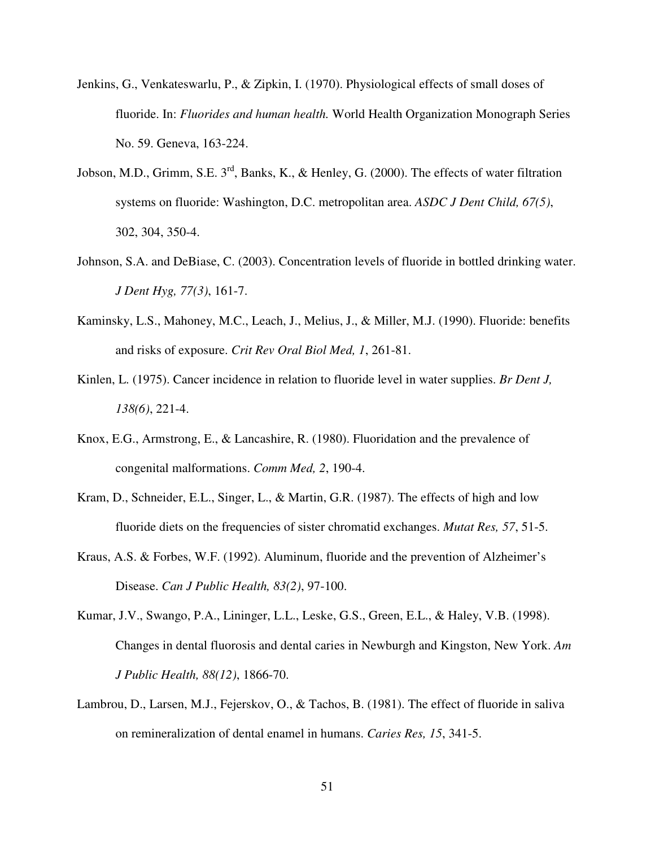- Jenkins, G., Venkateswarlu, P., & Zipkin, I. (1970). Physiological effects of small doses of fluoride. In: *Fluorides and human health.* World Health Organization Monograph Series No. 59. Geneva, 163-224.
- Jobson, M.D., Grimm, S.E. 3<sup>rd</sup>, Banks, K., & Henley, G. (2000). The effects of water filtration systems on fluoride: Washington, D.C. metropolitan area. *ASDC J Dent Child, 67(5)*, 302, 304, 350-4.
- Johnson, S.A. and DeBiase, C. (2003). Concentration levels of fluoride in bottled drinking water. *J Dent Hyg, 77(3)*, 161-7.
- Kaminsky, L.S., Mahoney, M.C., Leach, J., Melius, J., & Miller, M.J. (1990). Fluoride: benefits and risks of exposure. *Crit Rev Oral Biol Med, 1*, 261-81.
- Kinlen, L. (1975). Cancer incidence in relation to fluoride level in water supplies. *Br Dent J, 138(6)*, 221-4.
- Knox, E.G., Armstrong, E., & Lancashire, R. (1980). Fluoridation and the prevalence of congenital malformations. *Comm Med, 2*, 190-4.
- Kram, D., Schneider, E.L., Singer, L., & Martin, G.R. (1987). The effects of high and low fluoride diets on the frequencies of sister chromatid exchanges. *Mutat Res, 57*, 51-5.
- Kraus, A.S. & Forbes, W.F. (1992). Aluminum, fluoride and the prevention of Alzheimer's Disease. *Can J Public Health, 83(2)*, 97-100.
- Kumar, J.V., Swango, P.A., Lininger, L.L., Leske, G.S., Green, E.L., & Haley, V.B. (1998). Changes in dental fluorosis and dental caries in Newburgh and Kingston, New York. *Am J Public Health, 88(12)*, 1866-70.
- Lambrou, D., Larsen, M.J., Fejerskov, O., & Tachos, B. (1981). The effect of fluoride in saliva on remineralization of dental enamel in humans. *Caries Res, 15*, 341-5.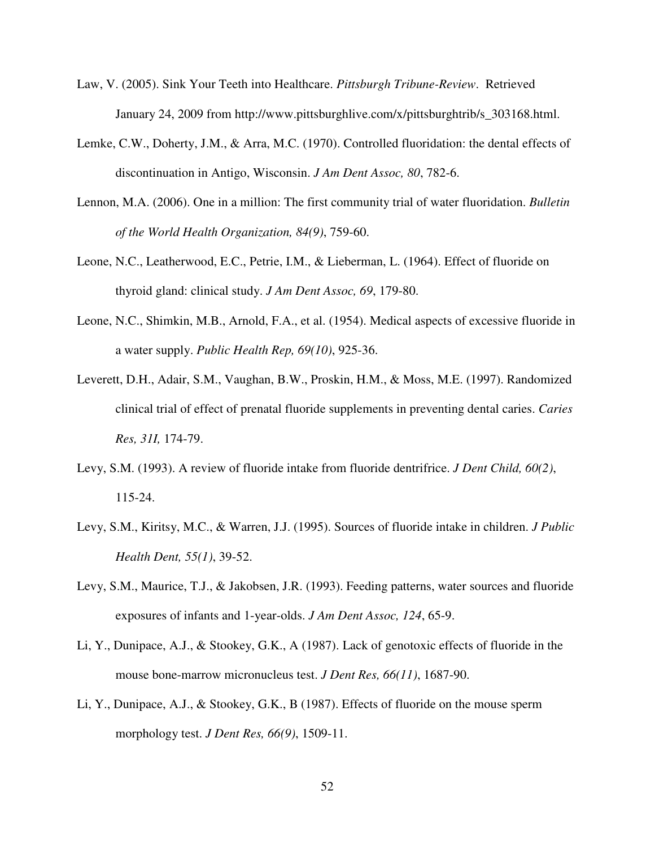- Law, V. (2005). Sink Your Teeth into Healthcare. *Pittsburgh Tribune-Review*. Retrieved January 24, 2009 from http://www.pittsburghlive.com/x/pittsburghtrib/s\_303168.html.
- Lemke, C.W., Doherty, J.M., & Arra, M.C. (1970). Controlled fluoridation: the dental effects of discontinuation in Antigo, Wisconsin. *J Am Dent Assoc, 80*, 782-6.
- Lennon, M.A. (2006). One in a million: The first community trial of water fluoridation. *Bulletin of the World Health Organization, 84(9)*, 759-60.
- Leone, N.C., Leatherwood, E.C., Petrie, I.M., & Lieberman, L. (1964). Effect of fluoride on thyroid gland: clinical study. *J Am Dent Assoc, 69*, 179-80.
- Leone, N.C., Shimkin, M.B., Arnold, F.A., et al. (1954). Medical aspects of excessive fluoride in a water supply. *Public Health Rep, 69(10)*, 925-36.
- Leverett, D.H., Adair, S.M., Vaughan, B.W., Proskin, H.M., & Moss, M.E. (1997). Randomized clinical trial of effect of prenatal fluoride supplements in preventing dental caries. *Caries Res, 31I,* 174-79.
- Levy, S.M. (1993). A review of fluoride intake from fluoride dentrifrice. *J Dent Child, 60(2)*, 115-24.
- Levy, S.M., Kiritsy, M.C., & Warren, J.J. (1995). Sources of fluoride intake in children. *J Public Health Dent, 55(1)*, 39-52.
- Levy, S.M., Maurice, T.J., & Jakobsen, J.R. (1993). Feeding patterns, water sources and fluoride exposures of infants and 1-year-olds. *J Am Dent Assoc, 124*, 65-9.
- Li, Y., Dunipace, A.J., & Stookey, G.K., A (1987). Lack of genotoxic effects of fluoride in the mouse bone-marrow micronucleus test. *J Dent Res, 66(11)*, 1687-90.
- Li, Y., Dunipace, A.J., & Stookey, G.K., B (1987). Effects of fluoride on the mouse sperm morphology test. *J Dent Res, 66(9)*, 1509-11.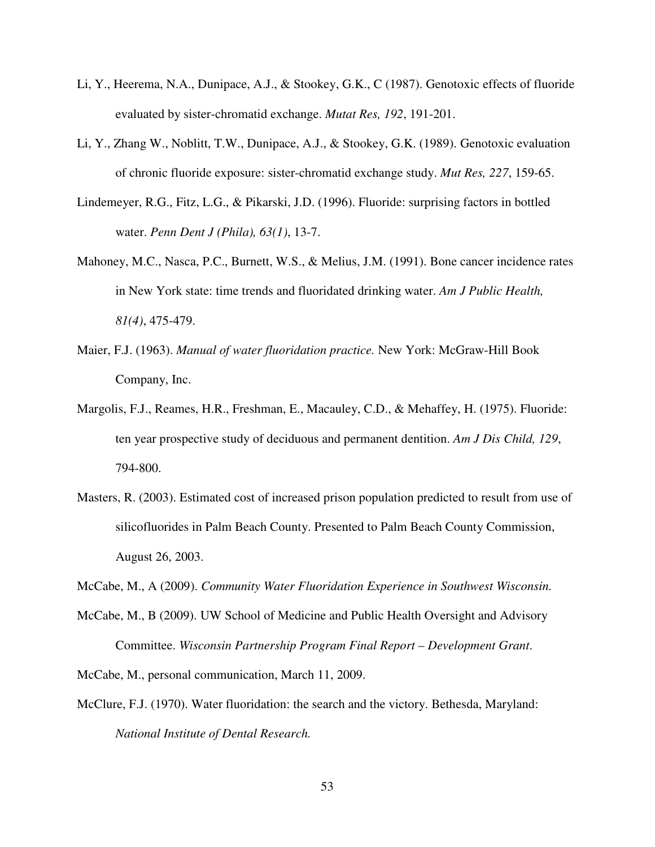- Li, Y., Heerema, N.A., Dunipace, A.J., & Stookey, G.K., C (1987). Genotoxic effects of fluoride evaluated by sister-chromatid exchange. *Mutat Res, 192*, 191-201.
- Li, Y., Zhang W., Noblitt, T.W., Dunipace, A.J., & Stookey, G.K. (1989). Genotoxic evaluation of chronic fluoride exposure: sister-chromatid exchange study. *Mut Res, 227*, 159-65.
- Lindemeyer, R.G., Fitz, L.G., & Pikarski, J.D. (1996). Fluoride: surprising factors in bottled water. *Penn Dent J (Phila), 63(1)*, 13-7.
- Mahoney, M.C., Nasca, P.C., Burnett, W.S., & Melius, J.M. (1991). Bone cancer incidence rates in New York state: time trends and fluoridated drinking water. *Am J Public Health, 81(4)*, 475-479.
- Maier, F.J. (1963). *Manual of water fluoridation practice.* New York: McGraw-Hill Book Company, Inc.
- Margolis, F.J., Reames, H.R., Freshman, E., Macauley, C.D., & Mehaffey, H. (1975). Fluoride: ten year prospective study of deciduous and permanent dentition. *Am J Dis Child, 129*, 794-800.
- Masters, R. (2003). Estimated cost of increased prison population predicted to result from use of silicofluorides in Palm Beach County. Presented to Palm Beach County Commission, August 26, 2003.
- McCabe, M., A (2009). *Community Water Fluoridation Experience in Southwest Wisconsin.*
- McCabe, M., B (2009). UW School of Medicine and Public Health Oversight and Advisory Committee. *Wisconsin Partnership Program Final Report – Development Grant*.
- McCabe, M., personal communication, March 11, 2009.
- McClure, F.J. (1970). Water fluoridation: the search and the victory. Bethesda, Maryland: *National Institute of Dental Research.*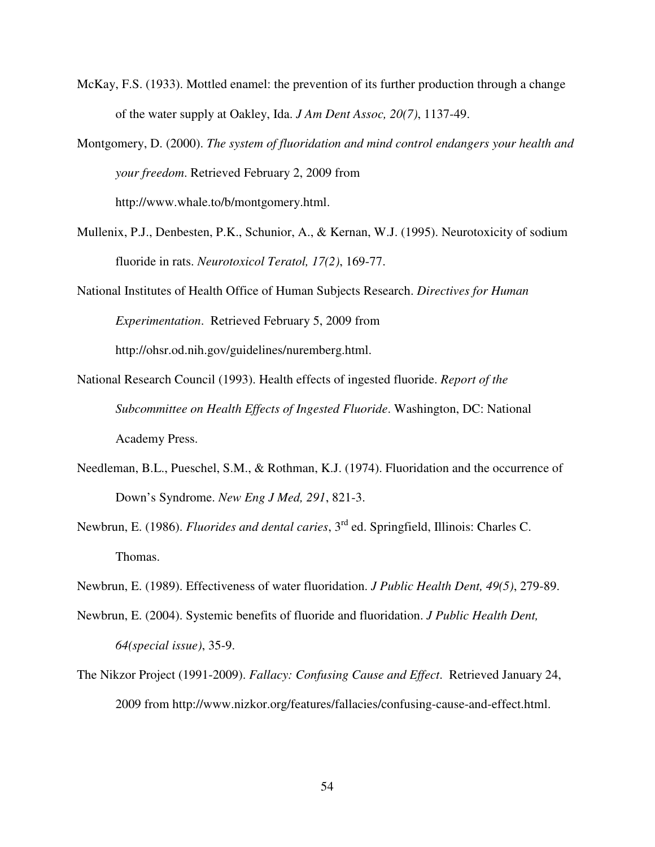- McKay, F.S. (1933). Mottled enamel: the prevention of its further production through a change of the water supply at Oakley, Ida. *J Am Dent Assoc, 20(7)*, 1137-49.
- Montgomery, D. (2000). *The system of fluoridation and mind control endangers your health and your freedom*. Retrieved February 2, 2009 from http://www.whale.to/b/montgomery.html.
- Mullenix, P.J., Denbesten, P.K., Schunior, A., & Kernan, W.J. (1995). Neurotoxicity of sodium fluoride in rats. *Neurotoxicol Teratol, 17(2)*, 169-77.
- National Institutes of Health Office of Human Subjects Research. *Directives for Human Experimentation*. Retrieved February 5, 2009 from http://ohsr.od.nih.gov/guidelines/nuremberg.html.
- National Research Council (1993). Health effects of ingested fluoride. *Report of the Subcommittee on Health Effects of Ingested Fluoride*. Washington, DC: National Academy Press.
- Needleman, B.L., Pueschel, S.M., & Rothman, K.J. (1974). Fluoridation and the occurrence of Down's Syndrome. *New Eng J Med, 291*, 821-3.
- Newbrun, E. (1986). *Fluorides and dental caries*, 3<sup>rd</sup> ed. Springfield, Illinois: Charles C. Thomas.
- Newbrun, E. (1989). Effectiveness of water fluoridation. *J Public Health Dent, 49(5)*, 279-89.
- Newbrun, E. (2004). Systemic benefits of fluoride and fluoridation. *J Public Health Dent, 64(special issue)*, 35-9.
- The Nikzor Project (1991-2009). *Fallacy: Confusing Cause and Effect*. Retrieved January 24, 2009 from http://www.nizkor.org/features/fallacies/confusing-cause-and-effect.html.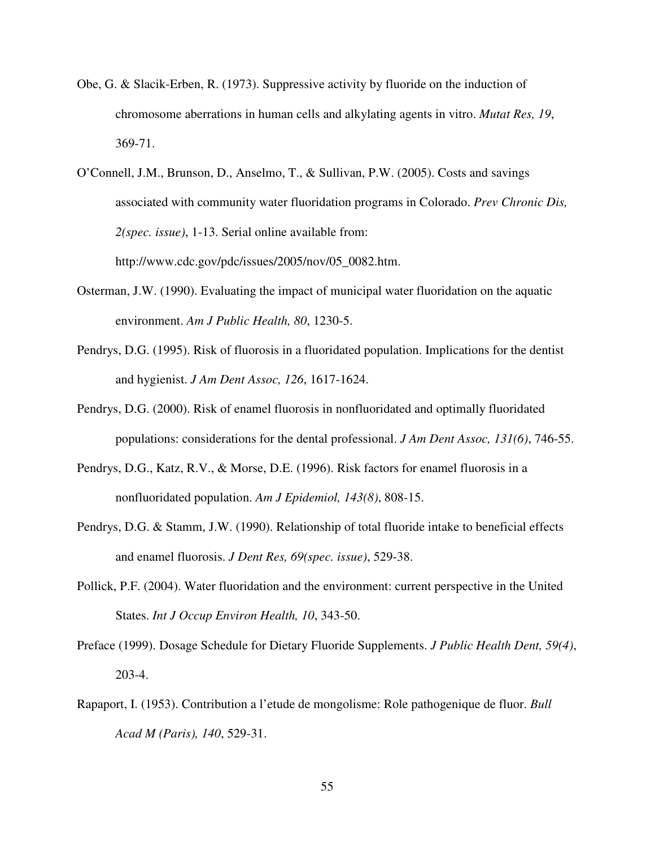- Obe, G. & Slacik-Erben, R. (1973). Suppressive activity by fluoride on the induction of chromosome aberrations in human cells and alkylating agents in vitro. *Mutat Res, 19*, 369-71.
- O'Connell, J.M., Brunson, D., Anselmo, T., & Sullivan, P.W. (2005). Costs and savings associated with community water fluoridation programs in Colorado. *Prev Chronic Dis, 2(spec. issue)*, 1-13. Serial online available from: http://www.cdc.gov/pdc/issues/2005/nov/05\_0082.htm.
- Osterman, J.W. (1990). Evaluating the impact of municipal water fluoridation on the aquatic environment. *Am J Public Health, 80*, 1230-5.
- Pendrys, D.G. (1995). Risk of fluorosis in a fluoridated population. Implications for the dentist and hygienist. *J Am Dent Assoc, 126*, 1617-1624.
- Pendrys, D.G. (2000). Risk of enamel fluorosis in nonfluoridated and optimally fluoridated populations: considerations for the dental professional. *J Am Dent Assoc, 131(6)*, 746-55.
- Pendrys, D.G., Katz, R.V., & Morse, D.E. (1996). Risk factors for enamel fluorosis in a nonfluoridated population. *Am J Epidemiol, 143(8)*, 808-15.
- Pendrys, D.G. & Stamm, J.W. (1990). Relationship of total fluoride intake to beneficial effects and enamel fluorosis. *J Dent Res, 69(spec. issue)*, 529-38.
- Pollick, P.F. (2004). Water fluoridation and the environment: current perspective in the United States. *Int J Occup Environ Health, 10*, 343-50.
- Preface (1999). Dosage Schedule for Dietary Fluoride Supplements. *J Public Health Dent, 59(4)*, 203-4.
- Rapaport, I. (1953). Contribution a l'etude de mongolisme: Role pathogenique de fluor. *Bull Acad M (Paris), 140*, 529-31.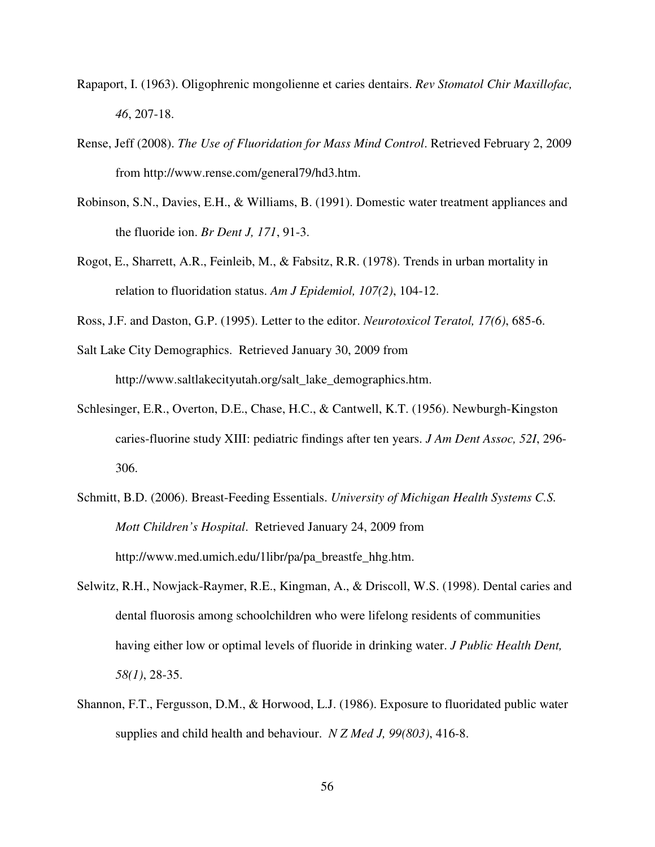- Rapaport, I. (1963). Oligophrenic mongolienne et caries dentairs. *Rev Stomatol Chir Maxillofac, 46*, 207-18.
- Rense, Jeff (2008). *The Use of Fluoridation for Mass Mind Control*. Retrieved February 2, 2009 from http://www.rense.com/general79/hd3.htm.
- Robinson, S.N., Davies, E.H., & Williams, B. (1991). Domestic water treatment appliances and the fluoride ion. *Br Dent J, 171*, 91-3.
- Rogot, E., Sharrett, A.R., Feinleib, M., & Fabsitz, R.R. (1978). Trends in urban mortality in relation to fluoridation status. *Am J Epidemiol, 107(2)*, 104-12.
- Ross, J.F. and Daston, G.P. (1995). Letter to the editor. *Neurotoxicol Teratol, 17(6)*, 685-6.

Salt Lake City Demographics. Retrieved January 30, 2009 from http://www.saltlakecityutah.org/salt\_lake\_demographics.htm.

- Schlesinger, E.R., Overton, D.E., Chase, H.C., & Cantwell, K.T. (1956). Newburgh-Kingston caries-fluorine study XIII: pediatric findings after ten years. *J Am Dent Assoc, 52I*, 296- 306.
- Schmitt, B.D. (2006). Breast-Feeding Essentials. *University of Michigan Health Systems C.S. Mott Children's Hospital*. Retrieved January 24, 2009 from http://www.med.umich.edu/1libr/pa/pa\_breastfe\_hhg.htm.
- Selwitz, R.H., Nowjack-Raymer, R.E., Kingman, A., & Driscoll, W.S. (1998). Dental caries and dental fluorosis among schoolchildren who were lifelong residents of communities having either low or optimal levels of fluoride in drinking water. *J Public Health Dent, 58(1)*, 28-35.
- Shannon, F.T., Fergusson, D.M., & Horwood, L.J. (1986). Exposure to fluoridated public water supplies and child health and behaviour. *N Z Med J, 99(803)*, 416-8.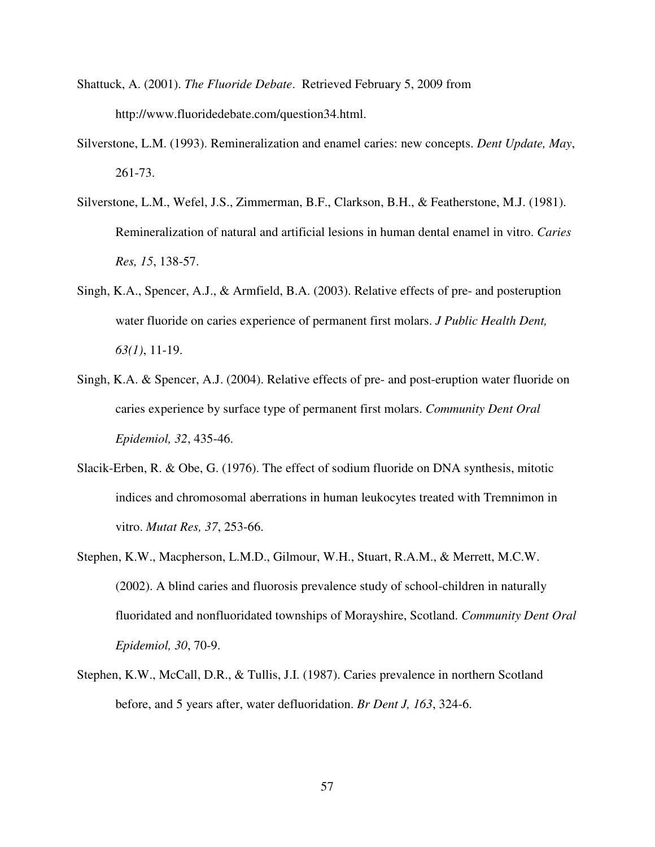- Shattuck, A. (2001). *The Fluoride Debate*. Retrieved February 5, 2009 from http://www.fluoridedebate.com/question34.html.
- Silverstone, L.M. (1993). Remineralization and enamel caries: new concepts. *Dent Update, May*, 261-73.
- Silverstone, L.M., Wefel, J.S., Zimmerman, B.F., Clarkson, B.H., & Featherstone, M.J. (1981). Remineralization of natural and artificial lesions in human dental enamel in vitro. *Caries Res, 15*, 138-57.
- Singh, K.A., Spencer, A.J., & Armfield, B.A. (2003). Relative effects of pre- and posteruption water fluoride on caries experience of permanent first molars. *J Public Health Dent, 63(1)*, 11-19.
- Singh, K.A. & Spencer, A.J. (2004). Relative effects of pre- and post-eruption water fluoride on caries experience by surface type of permanent first molars. *Community Dent Oral Epidemiol, 32*, 435-46.
- Slacik-Erben, R. & Obe, G. (1976). The effect of sodium fluoride on DNA synthesis, mitotic indices and chromosomal aberrations in human leukocytes treated with Tremnimon in vitro. *Mutat Res, 37*, 253-66.
- Stephen, K.W., Macpherson, L.M.D., Gilmour, W.H., Stuart, R.A.M., & Merrett, M.C.W. (2002). A blind caries and fluorosis prevalence study of school-children in naturally fluoridated and nonfluoridated townships of Morayshire, Scotland. *Community Dent Oral Epidemiol, 30*, 70-9.
- Stephen, K.W., McCall, D.R., & Tullis, J.I. (1987). Caries prevalence in northern Scotland before, and 5 years after, water defluoridation. *Br Dent J, 163*, 324-6.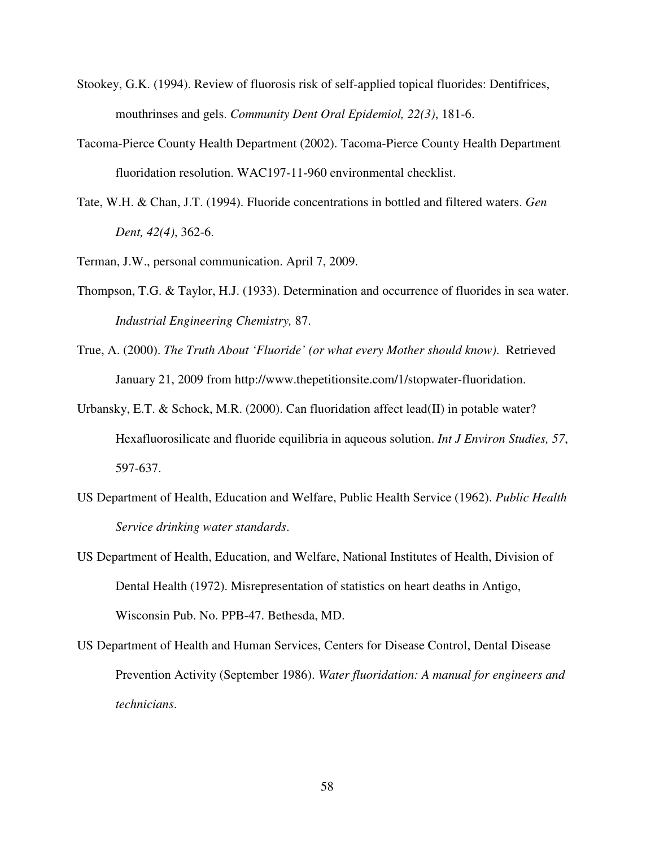- Stookey, G.K. (1994). Review of fluorosis risk of self-applied topical fluorides: Dentifrices, mouthrinses and gels. *Community Dent Oral Epidemiol, 22(3)*, 181-6.
- Tacoma-Pierce County Health Department (2002). Tacoma-Pierce County Health Department fluoridation resolution. WAC197-11-960 environmental checklist.
- Tate, W.H. & Chan, J.T. (1994). Fluoride concentrations in bottled and filtered waters. *Gen Dent, 42(4)*, 362-6.
- Terman, J.W., personal communication. April 7, 2009.
- Thompson, T.G. & Taylor, H.J. (1933). Determination and occurrence of fluorides in sea water. *Industrial Engineering Chemistry,* 87.
- True, A. (2000). *The Truth About 'Fluoride' (or what every Mother should know)*. Retrieved January 21, 2009 from http://www.thepetitionsite.com/1/stopwater-fluoridation.
- Urbansky, E.T. & Schock, M.R. (2000). Can fluoridation affect lead(II) in potable water? Hexafluorosilicate and fluoride equilibria in aqueous solution. *Int J Environ Studies, 57*, 597-637.
- US Department of Health, Education and Welfare, Public Health Service (1962). *Public Health Service drinking water standards*.
- US Department of Health, Education, and Welfare, National Institutes of Health, Division of Dental Health (1972). Misrepresentation of statistics on heart deaths in Antigo, Wisconsin Pub. No. PPB-47. Bethesda, MD.
- US Department of Health and Human Services, Centers for Disease Control, Dental Disease Prevention Activity (September 1986). *Water fluoridation: A manual for engineers and technicians*.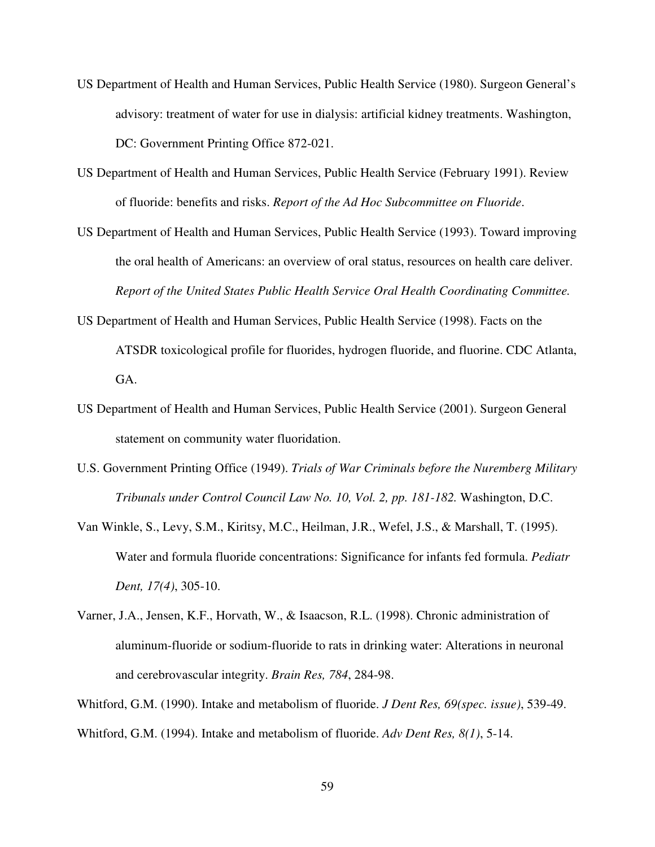- US Department of Health and Human Services, Public Health Service (1980). Surgeon General's advisory: treatment of water for use in dialysis: artificial kidney treatments. Washington, DC: Government Printing Office 872-021.
- US Department of Health and Human Services, Public Health Service (February 1991). Review of fluoride: benefits and risks. *Report of the Ad Hoc Subcommittee on Fluoride*.
- US Department of Health and Human Services, Public Health Service (1993). Toward improving the oral health of Americans: an overview of oral status, resources on health care deliver. *Report of the United States Public Health Service Oral Health Coordinating Committee.*
- US Department of Health and Human Services, Public Health Service (1998). Facts on the ATSDR toxicological profile for fluorides, hydrogen fluoride, and fluorine. CDC Atlanta, GA.
- US Department of Health and Human Services, Public Health Service (2001). Surgeon General statement on community water fluoridation.
- U.S. Government Printing Office (1949). *Trials of War Criminals before the Nuremberg Military Tribunals under Control Council Law No. 10, Vol. 2, pp. 181-182.* Washington, D.C.
- Van Winkle, S., Levy, S.M., Kiritsy, M.C., Heilman, J.R., Wefel, J.S., & Marshall, T. (1995). Water and formula fluoride concentrations: Significance for infants fed formula. *Pediatr Dent, 17(4)*, 305-10.
- Varner, J.A., Jensen, K.F., Horvath, W., & Isaacson, R.L. (1998). Chronic administration of aluminum-fluoride or sodium-fluoride to rats in drinking water: Alterations in neuronal and cerebrovascular integrity. *Brain Res, 784*, 284-98.
- Whitford, G.M. (1990). Intake and metabolism of fluoride. *J Dent Res, 69(spec. issue)*, 539-49. Whitford, G.M. (1994). Intake and metabolism of fluoride. *Adv Dent Res, 8(1)*, 5-14.